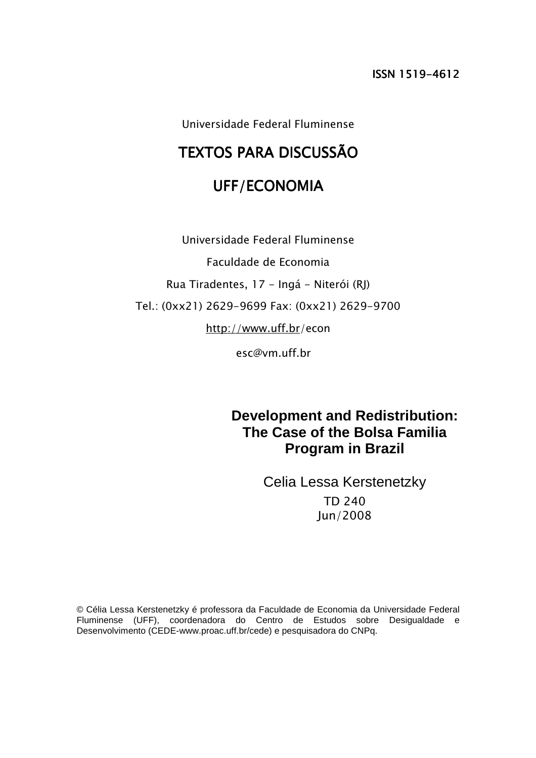Universidade Federal Fluminense

# TEXTOS PARA DISCUSSÃO

# UFF/ECONOMIA

Universidade Federal Fluminense Faculdade de Economia Rua Tiradentes, 17 - Ingá - Niterói (RJ) Tel.: (0xx21) 2629-9699 Fax: (0xx21) 2629-9700 http://www.uff.br/econ

esc@vm.uff.br

**Development and Redistribution: The Case of the Bolsa Familia Program in Brazil** 

> Celia Lessa Kerstenetzky TD 240 Jun/2008

© Célia Lessa Kerstenetzky é professora da Faculdade de Economia da Universidade Federal Fluminense (UFF), coordenadora do Centro de Estudos sobre Desigualdade e Desenvolvimento (CEDE-www.proac.uff.br/cede) e pesquisadora do CNPq.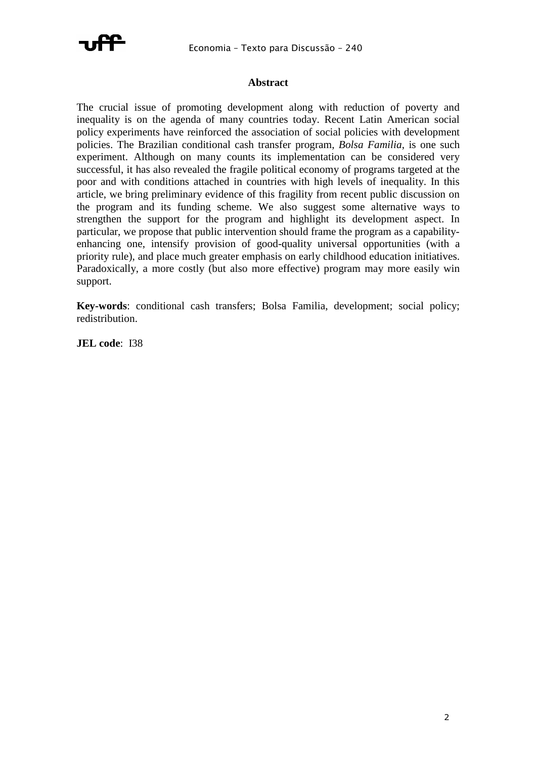

### **Abstract**

The crucial issue of promoting development along with reduction of poverty and inequality is on the agenda of many countries today. Recent Latin American social policy experiments have reinforced the association of social policies with development policies. The Brazilian conditional cash transfer program, *Bolsa Familia*, is one such experiment. Although on many counts its implementation can be considered very successful, it has also revealed the fragile political economy of programs targeted at the poor and with conditions attached in countries with high levels of inequality. In this article, we bring preliminary evidence of this fragility from recent public discussion on the program and its funding scheme. We also suggest some alternative ways to strengthen the support for the program and highlight its development aspect. In particular, we propose that public intervention should frame the program as a capabilityenhancing one, intensify provision of good-quality universal opportunities (with a priority rule), and place much greater emphasis on early childhood education initiatives. Paradoxically, a more costly (but also more effective) program may more easily win support.

**Key-words**: conditional cash transfers; Bolsa Familia, development; social policy; redistribution.

**JEL code**: I38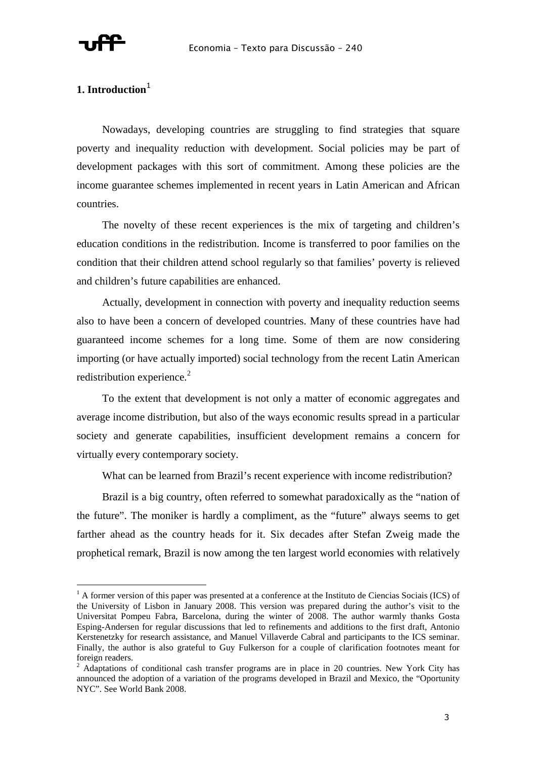

l

### **1. Introduction**<sup>1</sup>

Nowadays, developing countries are struggling to find strategies that square poverty and inequality reduction with development. Social policies may be part of development packages with this sort of commitment. Among these policies are the income guarantee schemes implemented in recent years in Latin American and African countries.

The novelty of these recent experiences is the mix of targeting and children's education conditions in the redistribution. Income is transferred to poor families on the condition that their children attend school regularly so that families' poverty is relieved and children's future capabilities are enhanced.

Actually, development in connection with poverty and inequality reduction seems also to have been a concern of developed countries. Many of these countries have had guaranteed income schemes for a long time. Some of them are now considering importing (or have actually imported) social technology from the recent Latin American redistribution experience. $2$ 

To the extent that development is not only a matter of economic aggregates and average income distribution, but also of the ways economic results spread in a particular society and generate capabilities, insufficient development remains a concern for virtually every contemporary society.

What can be learned from Brazil's recent experience with income redistribution?

Brazil is a big country, often referred to somewhat paradoxically as the "nation of the future". The moniker is hardly a compliment, as the "future" always seems to get farther ahead as the country heads for it. Six decades after Stefan Zweig made the prophetical remark, Brazil is now among the ten largest world economies with relatively

<sup>&</sup>lt;sup>1</sup> A former version of this paper was presented at a conference at the Instituto de Ciencias Sociais (ICS) of the University of Lisbon in January 2008. This version was prepared during the author's visit to the Universitat Pompeu Fabra, Barcelona, during the winter of 2008. The author warmly thanks Gosta Esping-Andersen for regular discussions that led to refinements and additions to the first draft, Antonio Kerstenetzky for research assistance, and Manuel Villaverde Cabral and participants to the ICS seminar. Finally, the author is also grateful to Guy Fulkerson for a couple of clarification footnotes meant for foreign readers.

 $2$  Adaptations of conditional cash transfer programs are in place in 20 countries. New York City has announced the adoption of a variation of the programs developed in Brazil and Mexico, the "Oportunity NYC". See World Bank 2008.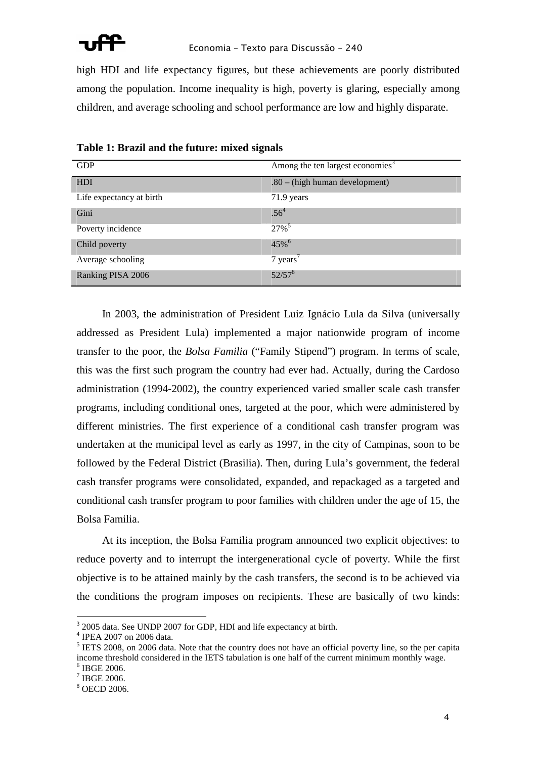

high HDI and life expectancy figures, but these achievements are poorly distributed among the population. Income inequality is high, poverty is glaring, especially among children, and average schooling and school performance are low and highly disparate.

| <b>GDP</b>               | Among the ten largest economies <sup>3</sup> |
|--------------------------|----------------------------------------------|
| HDI                      | $.80 - (high human development)$             |
| Life expectancy at birth | 71.9 years                                   |
| Gini                     | $.56^{4}$                                    |
| Poverty incidence        | $27\%$ <sup>5</sup>                          |
| Child poverty            | $45\%$ <sup>6</sup>                          |
| Average schooling        | $7$ years <sup><math>\prime</math></sup>     |
| Ranking PISA 2006        | $52/57^8$                                    |

|  |  |  | Table 1: Brazil and the future: mixed signals |
|--|--|--|-----------------------------------------------|
|  |  |  |                                               |

In 2003, the administration of President Luiz Ignácio Lula da Silva (universally addressed as President Lula) implemented a major nationwide program of income transfer to the poor, the *Bolsa Familia* ("Family Stipend") program. In terms of scale, this was the first such program the country had ever had. Actually, during the Cardoso administration (1994-2002), the country experienced varied smaller scale cash transfer programs, including conditional ones, targeted at the poor, which were administered by different ministries. The first experience of a conditional cash transfer program was undertaken at the municipal level as early as 1997, in the city of Campinas, soon to be followed by the Federal District (Brasilia). Then, during Lula's government, the federal cash transfer programs were consolidated, expanded, and repackaged as a targeted and conditional cash transfer program to poor families with children under the age of 15, the Bolsa Familia.

At its inception, the Bolsa Familia program announced two explicit objectives: to reduce poverty and to interrupt the intergenerational cycle of poverty. While the first objective is to be attained mainly by the cash transfers, the second is to be achieved via the conditions the program imposes on recipients. These are basically of two kinds:

 $\overline{a}$ 

<sup>&</sup>lt;sup>3</sup> 2005 data. See UNDP 2007 for GDP, HDI and life expectancy at birth.

<sup>4</sup> IPEA 2007 on 2006 data.

<sup>&</sup>lt;sup>5</sup> IETS 2008, on 2006 data. Note that the country does not have an official poverty line, so the per capita income threshold considered in the IETS tabulation is one half of the current minimum monthly wage. 6 IBGE 2006.

<sup>7</sup> IBGE 2006.

<sup>8</sup> OECD 2006.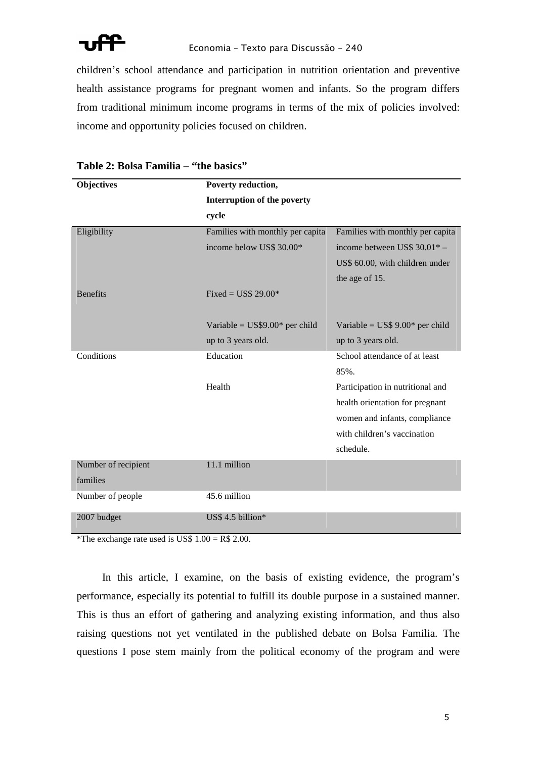

children's school attendance and participation in nutrition orientation and preventive health assistance programs for pregnant women and infants. So the program differs from traditional minimum income programs in terms of the mix of policies involved: income and opportunity policies focused on children.

| <b>Objectives</b>   | Poverty reduction,               |                                  |
|---------------------|----------------------------------|----------------------------------|
|                     | Interruption of the poverty      |                                  |
|                     | cycle                            |                                  |
| Eligibility         | Families with monthly per capita | Families with monthly per capita |
|                     | income below US\$ 30.00*         | income between US\$ 30.01* -     |
|                     |                                  | US\$ 60.00, with children under  |
|                     |                                  | the age of 15.                   |
| <b>Benefits</b>     | Fixed = $\overline{USS}$ 29.00*  |                                  |
|                     |                                  |                                  |
|                     | Variable = $US$9.00*$ per child  | Variable = $US$ 9.00*$ per child |
|                     | up to 3 years old.               | up to 3 years old.               |
| Conditions          | Education                        | School attendance of at least    |
|                     |                                  | 85%.                             |
|                     | Health                           | Participation in nutritional and |
|                     |                                  | health orientation for pregnant  |
|                     |                                  | women and infants, compliance    |
|                     |                                  | with children's vaccination      |
|                     |                                  | schedule.                        |
| Number of recipient | 11.1 million                     |                                  |
| families            |                                  |                                  |
| Number of people    | 45.6 million                     |                                  |
| 2007 budget         | US\$ 4.5 billion*                |                                  |

### **Table 2: Bolsa Familia – "the basics"**

\*The exchange rate used is US\$  $1.00 = R$ 2.00$ .

In this article, I examine, on the basis of existing evidence, the program's performance, especially its potential to fulfill its double purpose in a sustained manner. This is thus an effort of gathering and analyzing existing information, and thus also raising questions not yet ventilated in the published debate on Bolsa Familia. The questions I pose stem mainly from the political economy of the program and were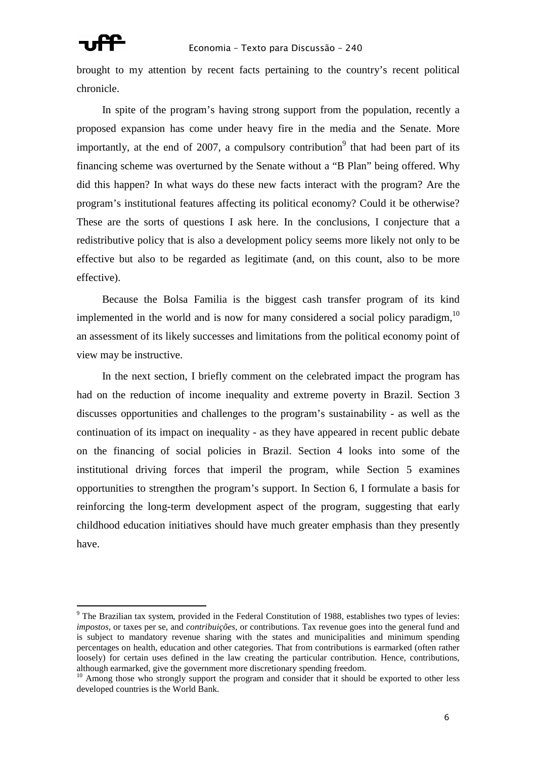

brought to my attention by recent facts pertaining to the country's recent political chronicle.

In spite of the program's having strong support from the population, recently a proposed expansion has come under heavy fire in the media and the Senate. More importantly, at the end of 2007, a compulsory contribution<sup>9</sup> that had been part of its financing scheme was overturned by the Senate without a "B Plan" being offered. Why did this happen? In what ways do these new facts interact with the program? Are the program's institutional features affecting its political economy? Could it be otherwise? These are the sorts of questions I ask here. In the conclusions, I conjecture that a redistributive policy that is also a development policy seems more likely not only to be effective but also to be regarded as legitimate (and, on this count, also to be more effective).

Because the Bolsa Familia is the biggest cash transfer program of its kind implemented in the world and is now for many considered a social policy paradigm,  $10$ an assessment of its likely successes and limitations from the political economy point of view may be instructive.

In the next section, I briefly comment on the celebrated impact the program has had on the reduction of income inequality and extreme poverty in Brazil. Section 3 discusses opportunities and challenges to the program's sustainability - as well as the continuation of its impact on inequality - as they have appeared in recent public debate on the financing of social policies in Brazil. Section 4 looks into some of the institutional driving forces that imperil the program, while Section 5 examines opportunities to strengthen the program's support. In Section 6, I formulate a basis for reinforcing the long-term development aspect of the program, suggesting that early childhood education initiatives should have much greater emphasis than they presently have.

<sup>&</sup>lt;sup>9</sup> The Brazilian tax system, provided in the Federal Constitution of 1988, establishes two types of levies: *impostos,* or taxes per se, and *contribuições,* or contributions. Tax revenue goes into the general fund and is subject to mandatory revenue sharing with the states and municipalities and minimum spending percentages on health, education and other categories. That from contributions is earmarked (often rather loosely) for certain uses defined in the law creating the particular contribution. Hence, contributions, although earmarked, give the government more discretionary spending freedom.

 $10$  Among those who strongly support the program and consider that it should be exported to other less developed countries is the World Bank.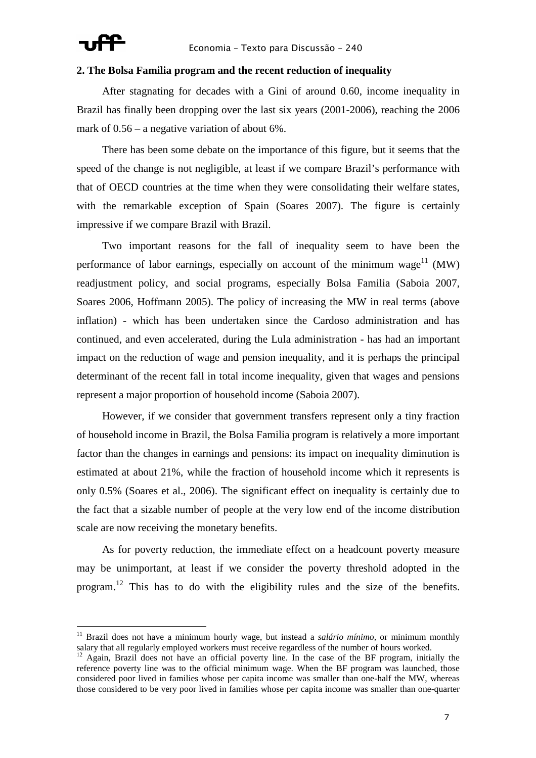

### **2. The Bolsa Familia program and the recent reduction of inequality**

After stagnating for decades with a Gini of around 0.60, income inequality in Brazil has finally been dropping over the last six years (2001-2006), reaching the 2006 mark of 0.56 – a negative variation of about 6%.

There has been some debate on the importance of this figure, but it seems that the speed of the change is not negligible, at least if we compare Brazil's performance with that of OECD countries at the time when they were consolidating their welfare states, with the remarkable exception of Spain (Soares 2007). The figure is certainly impressive if we compare Brazil with Brazil.

Two important reasons for the fall of inequality seem to have been the performance of labor earnings, especially on account of the minimum wage<sup>11</sup> (MW) readjustment policy, and social programs, especially Bolsa Familia (Saboia 2007, Soares 2006, Hoffmann 2005). The policy of increasing the MW in real terms (above inflation) - which has been undertaken since the Cardoso administration and has continued, and even accelerated, during the Lula administration - has had an important impact on the reduction of wage and pension inequality, and it is perhaps the principal determinant of the recent fall in total income inequality, given that wages and pensions represent a major proportion of household income (Saboia 2007).

However, if we consider that government transfers represent only a tiny fraction of household income in Brazil, the Bolsa Familia program is relatively a more important factor than the changes in earnings and pensions: its impact on inequality diminution is estimated at about 21%, while the fraction of household income which it represents is only 0.5% (Soares et al., 2006). The significant effect on inequality is certainly due to the fact that a sizable number of people at the very low end of the income distribution scale are now receiving the monetary benefits.

As for poverty reduction, the immediate effect on a headcount poverty measure may be unimportant, at least if we consider the poverty threshold adopted in the program.<sup>12</sup> This has to do with the eligibility rules and the size of the benefits.

<sup>11</sup> Brazil does not have a minimum hourly wage, but instead a *salário mínimo,* or minimum monthly salary that all regularly employed workers must receive regardless of the number of hours worked.

<sup>&</sup>lt;sup>2</sup> Again, Brazil does not have an official poverty line. In the case of the BF program, initially the reference poverty line was to the official minimum wage. When the BF program was launched, those considered poor lived in families whose per capita income was smaller than one-half the MW, whereas those considered to be very poor lived in families whose per capita income was smaller than one-quarter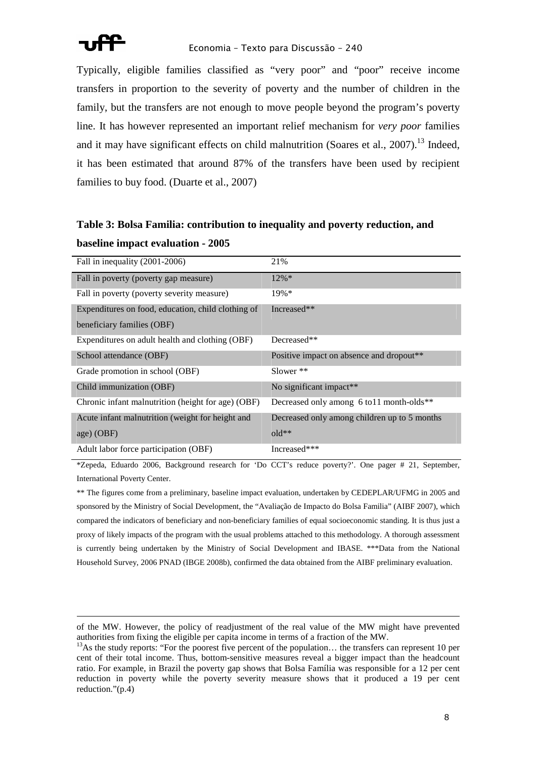

Typically, eligible families classified as "very poor" and "poor" receive income transfers in proportion to the severity of poverty and the number of children in the family, but the transfers are not enough to move people beyond the program's poverty line. It has however represented an important relief mechanism for *very poor* families and it may have significant effects on child malnutrition (Soares et al.,  $2007$ ).<sup>13</sup> Indeed, it has been estimated that around 87% of the transfers have been used by recipient families to buy food. (Duarte et al., 2007)

## **Table 3: Bolsa Familia: contribution to inequality and poverty reduction, and baseline impact evaluation - 2005**

| Fall in inequality (2001-2006)                     | 21%                                                   |
|----------------------------------------------------|-------------------------------------------------------|
| Fall in poverty (poverty gap measure)              | $12\% *$                                              |
| Fall in poverty (poverty severity measure)         | $19\%*$                                               |
| Expenditures on food, education, child clothing of | Increased**                                           |
| beneficiary families (OBF)                         |                                                       |
| Expenditures on adult health and clothing (OBF)    | Decreased**                                           |
| School attendance (OBF)                            | Positive impact on absence and dropout**              |
| Grade promotion in school (OBF)                    | Slower $**$                                           |
| Child immunization (OBF)                           | No significant impact**                               |
| Chronic infant malnutrition (height for age) (OBF) | Decreased only among 6 to 11 month-olds <sup>**</sup> |
| Acute infant malnutrition (weight for height and   | Decreased only among children up to 5 months          |
| age) (OBF)                                         | $old**$                                               |
| Adult labor force participation (OBF)              | Increased***                                          |

\*Zepeda, Eduardo 2006, Background research for 'Do CCT's reduce poverty?'. One pager # 21, September, International Poverty Center.

\*\* The figures come from a preliminary, baseline impact evaluation, undertaken by CEDEPLAR/UFMG in 2005 and sponsored by the Ministry of Social Development, the "Avaliação de Impacto do Bolsa Familia" (AIBF 2007), which compared the indicators of beneficiary and non-beneficiary families of equal socioeconomic standing. It is thus just a proxy of likely impacts of the program with the usual problems attached to this methodology. A thorough assessment is currently being undertaken by the Ministry of Social Development and IBASE. \*\*\*Data from the National Household Survey, 2006 PNAD (IBGE 2008b), confirmed the data obtained from the AIBF preliminary evaluation.

of the MW. However, the policy of readjustment of the real value of the MW might have prevented authorities from fixing the eligible per capita income in terms of a fraction of the MW.

<sup>&</sup>lt;sup>13</sup>As the study reports: "For the poorest five percent of the population... the transfers can represent 10 per cent of their total income. Thus, bottom-sensitive measures reveal a bigger impact than the headcount ratio. For example, in Brazil the poverty gap shows that Bolsa Família was responsible for a 12 per cent reduction in poverty while the poverty severity measure shows that it produced a 19 per cent reduction."(p.4)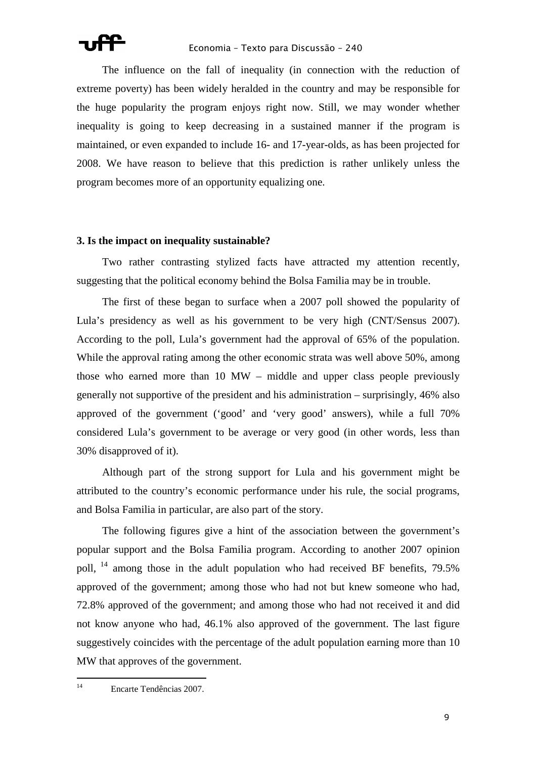The influence on the fall of inequality (in connection with the reduction of extreme poverty) has been widely heralded in the country and may be responsible for the huge popularity the program enjoys right now. Still, we may wonder whether inequality is going to keep decreasing in a sustained manner if the program is maintained, or even expanded to include 16- and 17-year-olds, as has been projected for 2008. We have reason to believe that this prediction is rather unlikely unless the program becomes more of an opportunity equalizing one.

### **3. Is the impact on inequality sustainable?**

Two rather contrasting stylized facts have attracted my attention recently, suggesting that the political economy behind the Bolsa Familia may be in trouble.

The first of these began to surface when a 2007 poll showed the popularity of Lula's presidency as well as his government to be very high (CNT/Sensus 2007). According to the poll, Lula's government had the approval of 65% of the population. While the approval rating among the other economic strata was well above 50%, among those who earned more than 10 MW – middle and upper class people previously generally not supportive of the president and his administration – surprisingly, 46% also approved of the government ('good' and 'very good' answers), while a full 70% considered Lula's government to be average or very good (in other words, less than 30% disapproved of it).

Although part of the strong support for Lula and his government might be attributed to the country's economic performance under his rule, the social programs, and Bolsa Familia in particular, are also part of the story.

The following figures give a hint of the association between the government's popular support and the Bolsa Familia program. According to another 2007 opinion poll, <sup>14</sup> among those in the adult population who had received BF benefits, 79.5% approved of the government; among those who had not but knew someone who had, 72.8% approved of the government; and among those who had not received it and did not know anyone who had, 46.1% also approved of the government. The last figure suggestively coincides with the percentage of the adult population earning more than 10 MW that approves of the government.

 $14$ <sup>14</sup> Encarte Tendências 2007.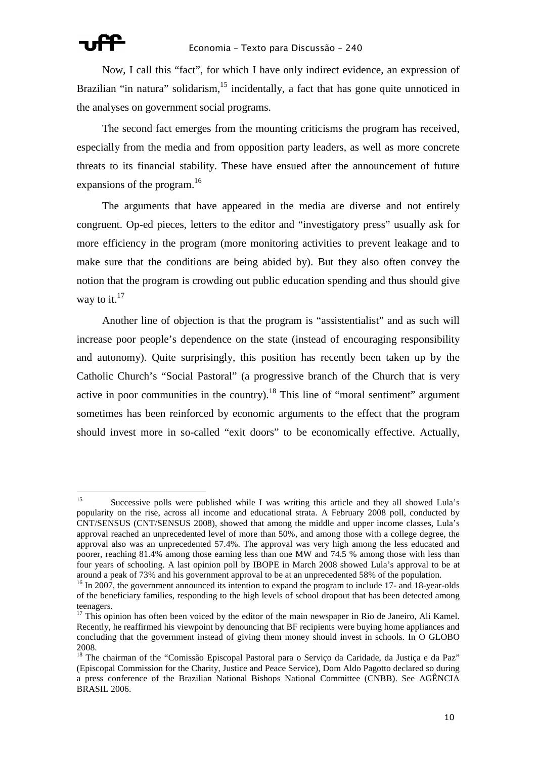

l

Now, I call this "fact", for which I have only indirect evidence, an expression of Brazilian "in natura" solidarism,  $15$  incidentally, a fact that has gone quite unnoticed in the analyses on government social programs.

The second fact emerges from the mounting criticisms the program has received, especially from the media and from opposition party leaders, as well as more concrete threats to its financial stability. These have ensued after the announcement of future expansions of the program.<sup>16</sup>

The arguments that have appeared in the media are diverse and not entirely congruent. Op-ed pieces, letters to the editor and "investigatory press" usually ask for more efficiency in the program (more monitoring activities to prevent leakage and to make sure that the conditions are being abided by). But they also often convey the notion that the program is crowding out public education spending and thus should give way to it. $17$ 

Another line of objection is that the program is "assistentialist" and as such will increase poor people's dependence on the state (instead of encouraging responsibility and autonomy). Quite surprisingly, this position has recently been taken up by the Catholic Church's "Social Pastoral" (a progressive branch of the Church that is very active in poor communities in the country).<sup>18</sup> This line of "moral sentiment" argument sometimes has been reinforced by economic arguments to the effect that the program should invest more in so-called "exit doors" to be economically effective. Actually,

<sup>&</sup>lt;sup>15</sup> Successive polls were published while I was writing this article and they all showed Lula's popularity on the rise, across all income and educational strata. A February 2008 poll, conducted by CNT/SENSUS (CNT/SENSUS 2008), showed that among the middle and upper income classes, Lula's approval reached an unprecedented level of more than 50%, and among those with a college degree, the approval also was an unprecedented 57.4%. The approval was very high among the less educated and poorer, reaching 81.4% among those earning less than one MW and 74.5 % among those with less than four years of schooling. A last opinion poll by IBOPE in March 2008 showed Lula's approval to be at around a peak of 73% and his government approval to be at an unprecedented 58% of the population.

<sup>&</sup>lt;sup>16</sup> In 2007, the government announced its intention to expand the program to include 17- and 18-year-olds of the beneficiary families, responding to the high levels of school dropout that has been detected among teenagers.

 $17$  This opinion has often been voiced by the editor of the main newspaper in Rio de Janeiro, Ali Kamel. Recently, he reaffirmed his viewpoint by denouncing that BF recipients were buying home appliances and concluding that the government instead of giving them money should invest in schools. In O GLOBO 2008.

<sup>&</sup>lt;sup>18</sup> The chairman of the "Comissão Episcopal Pastoral para o Serviço da Caridade, da Justiça e da Paz" (Episcopal Commission for the Charity, Justice and Peace Service), Dom Aldo Pagotto declared so during a press conference of the Brazilian National Bishops National Committee (CNBB). See AGÊNCIA BRASIL 2006.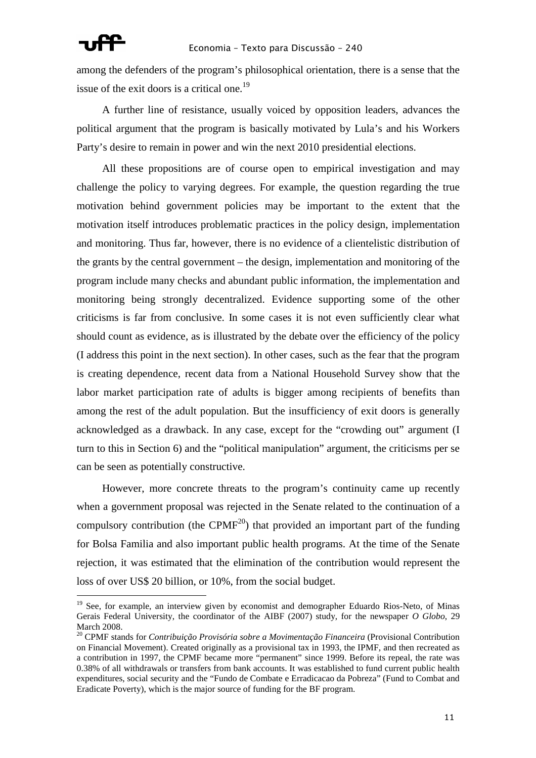among the defenders of the program's philosophical orientation, there is a sense that the issue of the exit doors is a critical one.<sup>19</sup>

A further line of resistance, usually voiced by opposition leaders, advances the political argument that the program is basically motivated by Lula's and his Workers Party's desire to remain in power and win the next 2010 presidential elections.

All these propositions are of course open to empirical investigation and may challenge the policy to varying degrees. For example, the question regarding the true motivation behind government policies may be important to the extent that the motivation itself introduces problematic practices in the policy design, implementation and monitoring. Thus far, however, there is no evidence of a clientelistic distribution of the grants by the central government – the design, implementation and monitoring of the program include many checks and abundant public information, the implementation and monitoring being strongly decentralized. Evidence supporting some of the other criticisms is far from conclusive. In some cases it is not even sufficiently clear what should count as evidence, as is illustrated by the debate over the efficiency of the policy (I address this point in the next section). In other cases, such as the fear that the program is creating dependence, recent data from a National Household Survey show that the labor market participation rate of adults is bigger among recipients of benefits than among the rest of the adult population. But the insufficiency of exit doors is generally acknowledged as a drawback. In any case, except for the "crowding out" argument (I turn to this in Section 6) and the "political manipulation" argument, the criticisms per se can be seen as potentially constructive.

However, more concrete threats to the program's continuity came up recently when a government proposal was rejected in the Senate related to the continuation of a compulsory contribution (the CPMF<sup>20</sup>) that provided an important part of the funding for Bolsa Familia and also important public health programs. At the time of the Senate rejection, it was estimated that the elimination of the contribution would represent the loss of over US\$ 20 billion, or 10%, from the social budget.

<sup>&</sup>lt;sup>19</sup> See, for example, an interview given by economist and demographer Eduardo Rios-Neto, of Minas Gerais Federal University, the coordinator of the AIBF (2007) study, for the newspaper *O Globo*, 29 March 2008.

<sup>20</sup> CPMF stands for *Contribuição Provisória sobre a Movimentação Financeira* (Provisional Contribution on Financial Movement). Created originally as a provisional tax in 1993, the IPMF, and then recreated as a contribution in 1997, the CPMF became more "permanent" since 1999. Before its repeal, the rate was 0.38% of all withdrawals or transfers from bank accounts. It was established to fund current public health expenditures, social security and the "Fundo de Combate e Erradicacao da Pobreza" (Fund to Combat and Eradicate Poverty), which is the major source of funding for the BF program.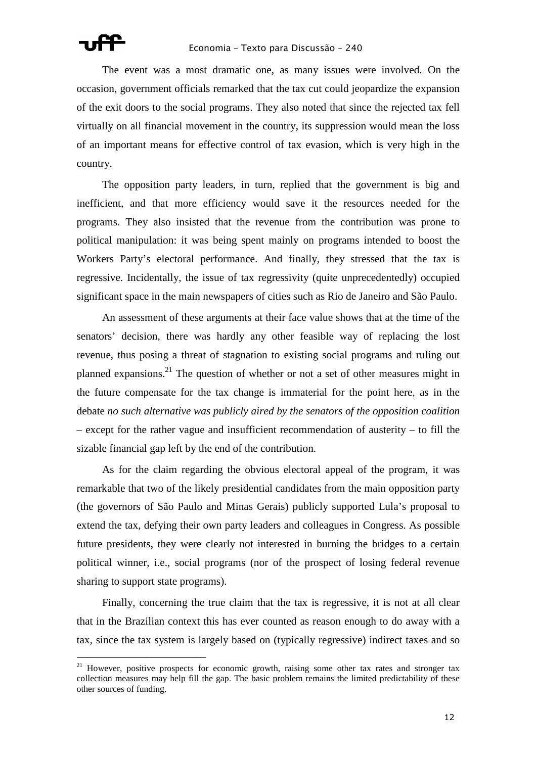The event was a most dramatic one, as many issues were involved. On the occasion, government officials remarked that the tax cut could jeopardize the expansion of the exit doors to the social programs. They also noted that since the rejected tax fell virtually on all financial movement in the country, its suppression would mean the loss of an important means for effective control of tax evasion, which is very high in the country.

The opposition party leaders, in turn, replied that the government is big and inefficient, and that more efficiency would save it the resources needed for the programs. They also insisted that the revenue from the contribution was prone to political manipulation: it was being spent mainly on programs intended to boost the Workers Party's electoral performance. And finally, they stressed that the tax is regressive. Incidentally, the issue of tax regressivity (quite unprecedentedly) occupied significant space in the main newspapers of cities such as Rio de Janeiro and São Paulo.

An assessment of these arguments at their face value shows that at the time of the senators' decision, there was hardly any other feasible way of replacing the lost revenue, thus posing a threat of stagnation to existing social programs and ruling out planned expansions.<sup>21</sup> The question of whether or not a set of other measures might in the future compensate for the tax change is immaterial for the point here, as in the debate *no such alternative was publicly aired by the senators of the opposition coalition* – except for the rather vague and insufficient recommendation of austerity – to fill the sizable financial gap left by the end of the contribution.

As for the claim regarding the obvious electoral appeal of the program, it was remarkable that two of the likely presidential candidates from the main opposition party (the governors of São Paulo and Minas Gerais) publicly supported Lula's proposal to extend the tax, defying their own party leaders and colleagues in Congress. As possible future presidents, they were clearly not interested in burning the bridges to a certain political winner, i.e., social programs (nor of the prospect of losing federal revenue sharing to support state programs).

Finally, concerning the true claim that the tax is regressive, it is not at all clear that in the Brazilian context this has ever counted as reason enough to do away with a tax, since the tax system is largely based on (typically regressive) indirect taxes and so

<sup>&</sup>lt;sup>21</sup> However, positive prospects for economic growth, raising some other tax rates and stronger tax collection measures may help fill the gap. The basic problem remains the limited predictability of these other sources of funding.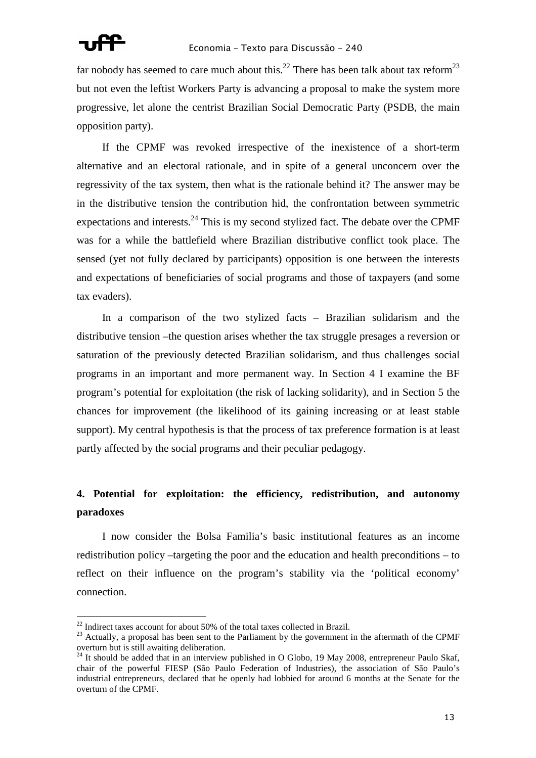

far nobody has seemed to care much about this.<sup>22</sup> There has been talk about tax reform<sup>23</sup> but not even the leftist Workers Party is advancing a proposal to make the system more progressive, let alone the centrist Brazilian Social Democratic Party (PSDB, the main opposition party).

If the CPMF was revoked irrespective of the inexistence of a short-term alternative and an electoral rationale, and in spite of a general unconcern over the regressivity of the tax system, then what is the rationale behind it? The answer may be in the distributive tension the contribution hid, the confrontation between symmetric expectations and interests. $^{24}$  This is my second stylized fact. The debate over the CPMF was for a while the battlefield where Brazilian distributive conflict took place. The sensed (yet not fully declared by participants) opposition is one between the interests and expectations of beneficiaries of social programs and those of taxpayers (and some tax evaders).

In a comparison of the two stylized facts – Brazilian solidarism and the distributive tension –the question arises whether the tax struggle presages a reversion or saturation of the previously detected Brazilian solidarism, and thus challenges social programs in an important and more permanent way. In Section 4 I examine the BF program's potential for exploitation (the risk of lacking solidarity), and in Section 5 the chances for improvement (the likelihood of its gaining increasing or at least stable support). My central hypothesis is that the process of tax preference formation is at least partly affected by the social programs and their peculiar pedagogy.

## **4. Potential for exploitation: the efficiency, redistribution, and autonomy paradoxes**

I now consider the Bolsa Familia's basic institutional features as an income redistribution policy –targeting the poor and the education and health preconditions – to reflect on their influence on the program's stability via the 'political economy' connection.

 $\overline{a}$ 

 $22$  Indirect taxes account for about 50% of the total taxes collected in Brazil.

<sup>&</sup>lt;sup>23</sup> Actually, a proposal has been sent to the Parliament by the government in the aftermath of the CPMF overturn but is still awaiting deliberation.

<sup>&</sup>lt;sup>24</sup> It should be added that in an interview published in O Globo, 19 May 2008, entrepreneur Paulo Skaf, chair of the powerful FIESP (São Paulo Federation of Industries), the association of São Paulo's industrial entrepreneurs, declared that he openly had lobbied for around 6 months at the Senate for the overturn of the CPMF.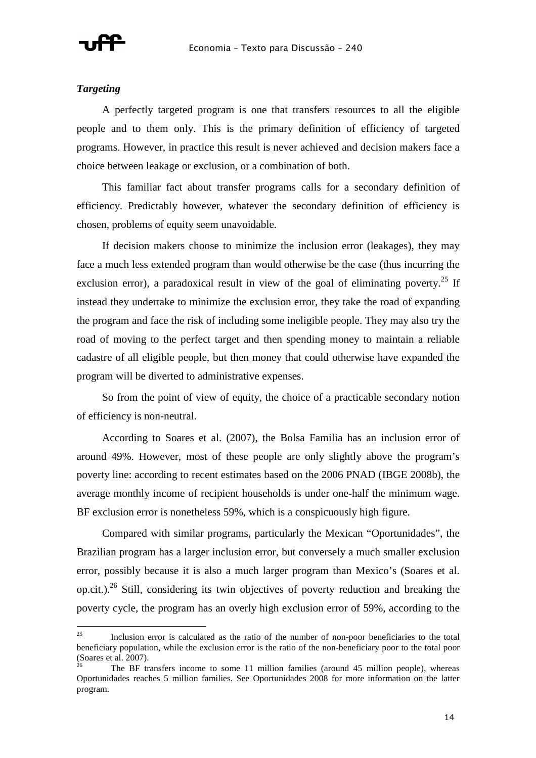

### *Targeting*

 $\overline{a}$ 

A perfectly targeted program is one that transfers resources to all the eligible people and to them only. This is the primary definition of efficiency of targeted programs. However, in practice this result is never achieved and decision makers face a choice between leakage or exclusion, or a combination of both.

This familiar fact about transfer programs calls for a secondary definition of efficiency. Predictably however, whatever the secondary definition of efficiency is chosen, problems of equity seem unavoidable.

If decision makers choose to minimize the inclusion error (leakages), they may face a much less extended program than would otherwise be the case (thus incurring the exclusion error), a paradoxical result in view of the goal of eliminating poverty.<sup>25</sup> If instead they undertake to minimize the exclusion error, they take the road of expanding the program and face the risk of including some ineligible people. They may also try the road of moving to the perfect target and then spending money to maintain a reliable cadastre of all eligible people, but then money that could otherwise have expanded the program will be diverted to administrative expenses.

So from the point of view of equity, the choice of a practicable secondary notion of efficiency is non-neutral.

According to Soares et al. (2007), the Bolsa Familia has an inclusion error of around 49%. However, most of these people are only slightly above the program's poverty line: according to recent estimates based on the 2006 PNAD (IBGE 2008b), the average monthly income of recipient households is under one-half the minimum wage. BF exclusion error is nonetheless 59%, which is a conspicuously high figure.

Compared with similar programs, particularly the Mexican "Oportunidades", the Brazilian program has a larger inclusion error, but conversely a much smaller exclusion error, possibly because it is also a much larger program than Mexico's (Soares et al. op.cit.).<sup>26</sup> Still, considering its twin objectives of poverty reduction and breaking the poverty cycle, the program has an overly high exclusion error of 59%, according to the

<sup>&</sup>lt;sup>25</sup> Inclusion error is calculated as the ratio of the number of non-poor beneficiaries to the total beneficiary population, while the exclusion error is the ratio of the non-beneficiary poor to the total poor (Soares et al. 2007).

<sup>26</sup> The BF transfers income to some 11 million families (around 45 million people), whereas Oportunidades reaches 5 million families. See Oportunidades 2008 for more information on the latter program.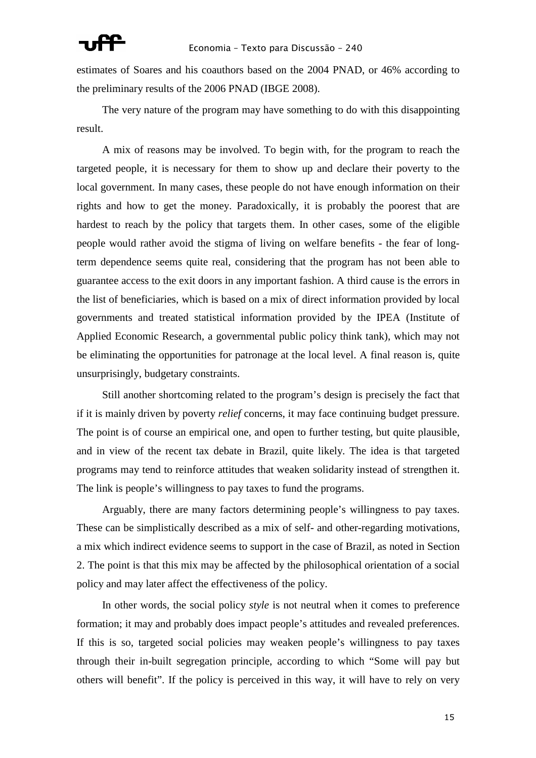

estimates of Soares and his coauthors based on the 2004 PNAD, or 46% according to the preliminary results of the 2006 PNAD (IBGE 2008).

The very nature of the program may have something to do with this disappointing result.

A mix of reasons may be involved. To begin with, for the program to reach the targeted people, it is necessary for them to show up and declare their poverty to the local government. In many cases, these people do not have enough information on their rights and how to get the money. Paradoxically, it is probably the poorest that are hardest to reach by the policy that targets them. In other cases, some of the eligible people would rather avoid the stigma of living on welfare benefits - the fear of longterm dependence seems quite real, considering that the program has not been able to guarantee access to the exit doors in any important fashion. A third cause is the errors in the list of beneficiaries, which is based on a mix of direct information provided by local governments and treated statistical information provided by the IPEA (Institute of Applied Economic Research, a governmental public policy think tank), which may not be eliminating the opportunities for patronage at the local level. A final reason is, quite unsurprisingly, budgetary constraints.

Still another shortcoming related to the program's design is precisely the fact that if it is mainly driven by poverty *relief* concerns, it may face continuing budget pressure. The point is of course an empirical one, and open to further testing, but quite plausible, and in view of the recent tax debate in Brazil, quite likely. The idea is that targeted programs may tend to reinforce attitudes that weaken solidarity instead of strengthen it. The link is people's willingness to pay taxes to fund the programs.

Arguably, there are many factors determining people's willingness to pay taxes. These can be simplistically described as a mix of self- and other-regarding motivations, a mix which indirect evidence seems to support in the case of Brazil, as noted in Section 2. The point is that this mix may be affected by the philosophical orientation of a social policy and may later affect the effectiveness of the policy.

In other words, the social policy *style* is not neutral when it comes to preference formation; it may and probably does impact people's attitudes and revealed preferences. If this is so, targeted social policies may weaken people's willingness to pay taxes through their in-built segregation principle, according to which "Some will pay but others will benefit". If the policy is perceived in this way, it will have to rely on very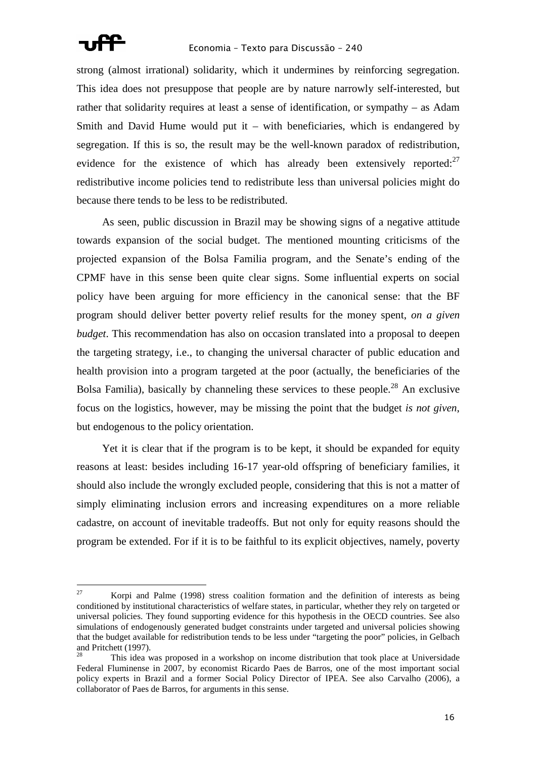

l

strong (almost irrational) solidarity, which it undermines by reinforcing segregation. This idea does not presuppose that people are by nature narrowly self-interested, but rather that solidarity requires at least a sense of identification, or sympathy – as Adam Smith and David Hume would put it – with beneficiaries, which is endangered by segregation. If this is so, the result may be the well-known paradox of redistribution, evidence for the existence of which has already been extensively reported: $27$ redistributive income policies tend to redistribute less than universal policies might do because there tends to be less to be redistributed.

As seen, public discussion in Brazil may be showing signs of a negative attitude towards expansion of the social budget. The mentioned mounting criticisms of the projected expansion of the Bolsa Familia program, and the Senate's ending of the CPMF have in this sense been quite clear signs. Some influential experts on social policy have been arguing for more efficiency in the canonical sense: that the BF program should deliver better poverty relief results for the money spent, *on a given budget*. This recommendation has also on occasion translated into a proposal to deepen the targeting strategy, i.e., to changing the universal character of public education and health provision into a program targeted at the poor (actually, the beneficiaries of the Bolsa Familia), basically by channeling these services to these people.<sup>28</sup> An exclusive focus on the logistics, however, may be missing the point that the budget *is not given*, but endogenous to the policy orientation.

Yet it is clear that if the program is to be kept, it should be expanded for equity reasons at least: besides including 16-17 year-old offspring of beneficiary families, it should also include the wrongly excluded people, considering that this is not a matter of simply eliminating inclusion errors and increasing expenditures on a more reliable cadastre, on account of inevitable tradeoffs. But not only for equity reasons should the program be extended. For if it is to be faithful to its explicit objectives, namely, poverty

<sup>&</sup>lt;sup>27</sup> Korpi and Palme (1998) stress coalition formation and the definition of interests as being conditioned by institutional characteristics of welfare states, in particular, whether they rely on targeted or universal policies. They found supporting evidence for this hypothesis in the OECD countries. See also simulations of endogenously generated budget constraints under targeted and universal policies showing that the budget available for redistribution tends to be less under "targeting the poor" policies, in Gelbach and Pritchett (1997).

<sup>28</sup> This idea was proposed in a workshop on income distribution that took place at Universidade Federal Fluminense in 2007, by economist Ricardo Paes de Barros, one of the most important social policy experts in Brazil and a former Social Policy Director of IPEA. See also Carvalho (2006), a collaborator of Paes de Barros, for arguments in this sense.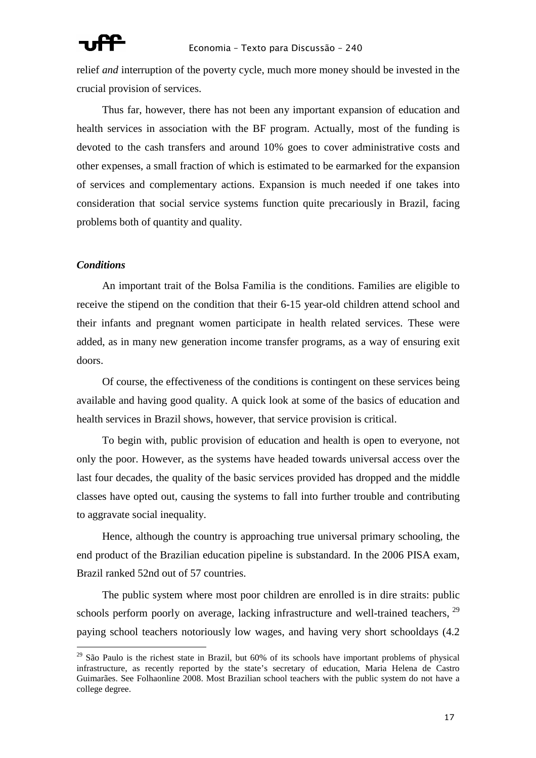relief *and* interruption of the poverty cycle, much more money should be invested in the crucial provision of services.

Thus far, however, there has not been any important expansion of education and health services in association with the BF program. Actually, most of the funding is devoted to the cash transfers and around 10% goes to cover administrative costs and other expenses, a small fraction of which is estimated to be earmarked for the expansion of services and complementary actions. Expansion is much needed if one takes into consideration that social service systems function quite precariously in Brazil, facing problems both of quantity and quality.

### *Conditions*

l

An important trait of the Bolsa Familia is the conditions. Families are eligible to receive the stipend on the condition that their 6-15 year-old children attend school and their infants and pregnant women participate in health related services. These were added, as in many new generation income transfer programs, as a way of ensuring exit doors.

Of course, the effectiveness of the conditions is contingent on these services being available and having good quality. A quick look at some of the basics of education and health services in Brazil shows, however, that service provision is critical.

To begin with, public provision of education and health is open to everyone, not only the poor. However, as the systems have headed towards universal access over the last four decades, the quality of the basic services provided has dropped and the middle classes have opted out, causing the systems to fall into further trouble and contributing to aggravate social inequality.

Hence, although the country is approaching true universal primary schooling, the end product of the Brazilian education pipeline is substandard. In the 2006 PISA exam, Brazil ranked 52nd out of 57 countries.

The public system where most poor children are enrolled is in dire straits: public schools perform poorly on average, lacking infrastructure and well-trained teachers,  $^{29}$ paying school teachers notoriously low wages, and having very short schooldays (4.2

 $29$  São Paulo is the richest state in Brazil, but 60% of its schools have important problems of physical infrastructure, as recently reported by the state's secretary of education, Maria Helena de Castro Guimarães. See Folhaonline 2008. Most Brazilian school teachers with the public system do not have a college degree.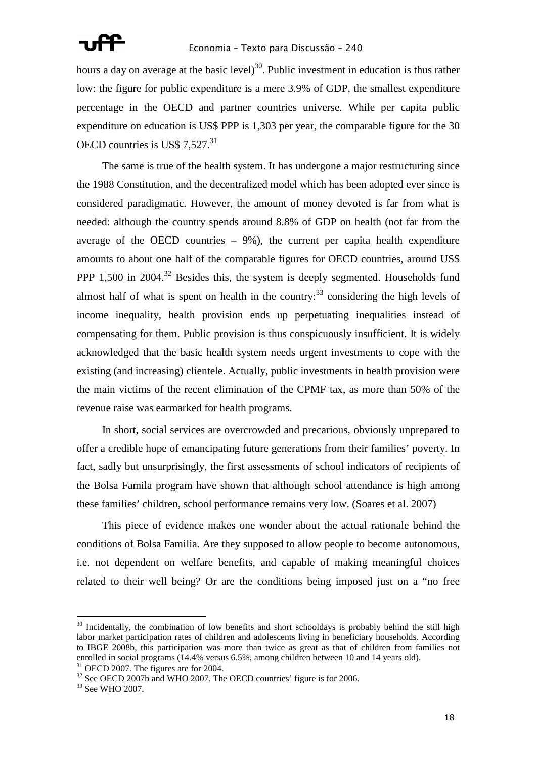hours a day on average at the basic level)<sup>30</sup>. Public investment in education is thus rather low: the figure for public expenditure is a mere 3.9% of GDP, the smallest expenditure percentage in the OECD and partner countries universe. While per capita public expenditure on education is US\$ PPP is 1,303 per year, the comparable figure for the 30 OECD countries is US\$ 7,527.<sup>31</sup>

The same is true of the health system. It has undergone a major restructuring since the 1988 Constitution, and the decentralized model which has been adopted ever since is considered paradigmatic. However, the amount of money devoted is far from what is needed: although the country spends around 8.8% of GDP on health (not far from the average of the OECD countries  $-9\%$ ), the current per capita health expenditure amounts to about one half of the comparable figures for OECD countries, around US\$ PPP 1,500 in  $2004$ <sup>32</sup> Besides this, the system is deeply segmented. Households fund almost half of what is spent on health in the country:  $33$  considering the high levels of income inequality, health provision ends up perpetuating inequalities instead of compensating for them. Public provision is thus conspicuously insufficient. It is widely acknowledged that the basic health system needs urgent investments to cope with the existing (and increasing) clientele. Actually, public investments in health provision were the main victims of the recent elimination of the CPMF tax, as more than 50% of the revenue raise was earmarked for health programs.

In short, social services are overcrowded and precarious, obviously unprepared to offer a credible hope of emancipating future generations from their families' poverty. In fact, sadly but unsurprisingly, the first assessments of school indicators of recipients of the Bolsa Famila program have shown that although school attendance is high among these families' children, school performance remains very low. (Soares et al. 2007)

This piece of evidence makes one wonder about the actual rationale behind the conditions of Bolsa Familia. Are they supposed to allow people to become autonomous, i.e. not dependent on welfare benefits, and capable of making meaningful choices related to their well being? Or are the conditions being imposed just on a "no free

 $\overline{a}$ 

<sup>&</sup>lt;sup>30</sup> Incidentally, the combination of low benefits and short schooldays is probably behind the still high labor market participation rates of children and adolescents living in beneficiary households. According to IBGE 2008b, this participation was more than twice as great as that of children from families not enrolled in social programs (14.4% versus 6.5%, among children between 10 and 14 years old).

<sup>&</sup>lt;sup>31</sup> OECD 2007. The figures are for 2004.

<sup>&</sup>lt;sup>32</sup> See OECD 2007b and WHO 2007. The OECD countries' figure is for 2006.

<sup>33</sup> See WHO 2007.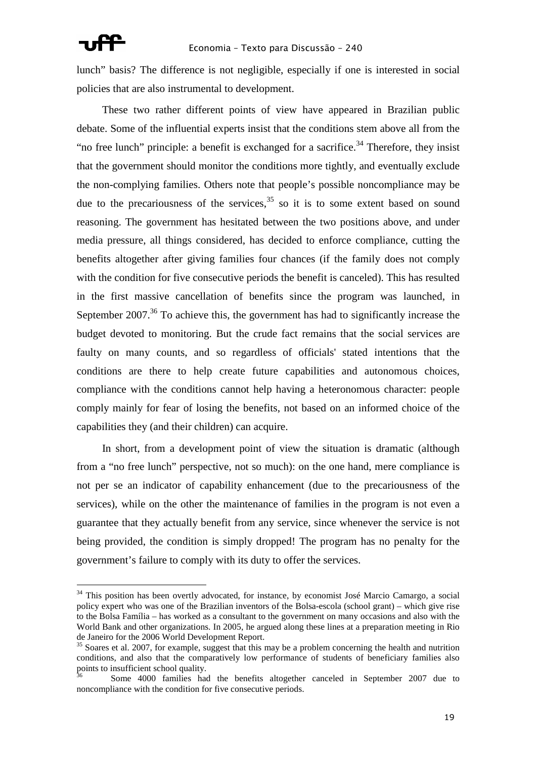l

lunch" basis? The difference is not negligible, especially if one is interested in social policies that are also instrumental to development.

These two rather different points of view have appeared in Brazilian public debate. Some of the influential experts insist that the conditions stem above all from the "no free lunch" principle: a benefit is exchanged for a sacrifice.<sup>34</sup> Therefore, they insist that the government should monitor the conditions more tightly, and eventually exclude the non-complying families. Others note that people's possible noncompliance may be due to the precariousness of the services,  $35$  so it is to some extent based on sound reasoning. The government has hesitated between the two positions above, and under media pressure, all things considered, has decided to enforce compliance, cutting the benefits altogether after giving families four chances (if the family does not comply with the condition for five consecutive periods the benefit is canceled). This has resulted in the first massive cancellation of benefits since the program was launched, in September  $2007<sup>36</sup>$  To achieve this, the government has had to significantly increase the budget devoted to monitoring. But the crude fact remains that the social services are faulty on many counts, and so regardless of officials' stated intentions that the conditions are there to help create future capabilities and autonomous choices, compliance with the conditions cannot help having a heteronomous character: people comply mainly for fear of losing the benefits, not based on an informed choice of the capabilities they (and their children) can acquire.

In short, from a development point of view the situation is dramatic (although from a "no free lunch" perspective, not so much): on the one hand, mere compliance is not per se an indicator of capability enhancement (due to the precariousness of the services), while on the other the maintenance of families in the program is not even a guarantee that they actually benefit from any service, since whenever the service is not being provided, the condition is simply dropped! The program has no penalty for the government's failure to comply with its duty to offer the services.

<sup>&</sup>lt;sup>34</sup> This position has been overtly advocated, for instance, by economist José Marcio Camargo, a social policy expert who was one of the Brazilian inventors of the Bolsa-escola (school grant) – which give rise to the Bolsa Família – has worked as a consultant to the government on many occasions and also with the World Bank and other organizations. In 2005, he argued along these lines at a preparation meeting in Rio de Janeiro for the 2006 World Development Report.

 $35$  Soares et al. 2007, for example, suggest that this may be a problem concerning the health and nutrition conditions, and also that the comparatively low performance of students of beneficiary families also points to insufficient school quality.

<sup>36</sup> Some 4000 families had the benefits altogether canceled in September 2007 due to noncompliance with the condition for five consecutive periods.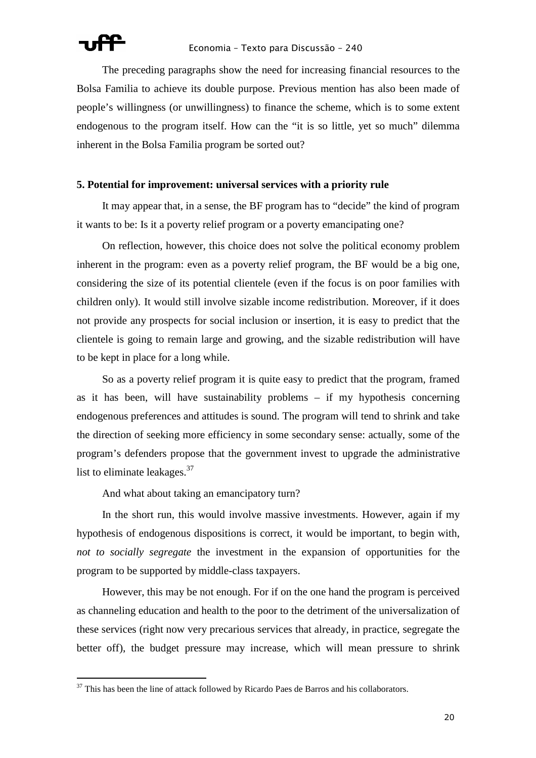l

The preceding paragraphs show the need for increasing financial resources to the Bolsa Familia to achieve its double purpose. Previous mention has also been made of people's willingness (or unwillingness) to finance the scheme, which is to some extent endogenous to the program itself. How can the "it is so little, yet so much" dilemma inherent in the Bolsa Familia program be sorted out?

### **5. Potential for improvement: universal services with a priority rule**

It may appear that, in a sense, the BF program has to "decide" the kind of program it wants to be: Is it a poverty relief program or a poverty emancipating one?

On reflection, however, this choice does not solve the political economy problem inherent in the program: even as a poverty relief program, the BF would be a big one, considering the size of its potential clientele (even if the focus is on poor families with children only). It would still involve sizable income redistribution. Moreover, if it does not provide any prospects for social inclusion or insertion, it is easy to predict that the clientele is going to remain large and growing, and the sizable redistribution will have to be kept in place for a long while.

So as a poverty relief program it is quite easy to predict that the program, framed as it has been, will have sustainability problems – if my hypothesis concerning endogenous preferences and attitudes is sound. The program will tend to shrink and take the direction of seeking more efficiency in some secondary sense: actually, some of the program's defenders propose that the government invest to upgrade the administrative list to eliminate leakages. $37$ 

And what about taking an emancipatory turn?

In the short run, this would involve massive investments. However, again if my hypothesis of endogenous dispositions is correct, it would be important, to begin with, *not to socially segregate* the investment in the expansion of opportunities for the program to be supported by middle-class taxpayers.

However, this may be not enough. For if on the one hand the program is perceived as channeling education and health to the poor to the detriment of the universalization of these services (right now very precarious services that already, in practice, segregate the better off), the budget pressure may increase, which will mean pressure to shrink

 $37$  This has been the line of attack followed by Ricardo Paes de Barros and his collaborators.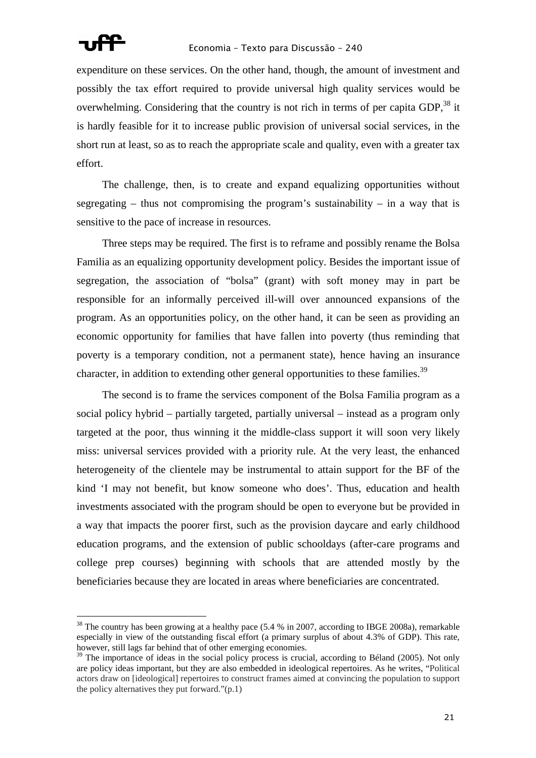

expenditure on these services. On the other hand, though, the amount of investment and possibly the tax effort required to provide universal high quality services would be overwhelming. Considering that the country is not rich in terms of per capita GDP.<sup>38</sup> it is hardly feasible for it to increase public provision of universal social services, in the short run at least, so as to reach the appropriate scale and quality, even with a greater tax effort.

The challenge, then, is to create and expand equalizing opportunities without segregating – thus not compromising the program's sustainability – in a way that is sensitive to the pace of increase in resources.

Three steps may be required. The first is to reframe and possibly rename the Bolsa Familia as an equalizing opportunity development policy. Besides the important issue of segregation, the association of "bolsa" (grant) with soft money may in part be responsible for an informally perceived ill-will over announced expansions of the program. As an opportunities policy, on the other hand, it can be seen as providing an economic opportunity for families that have fallen into poverty (thus reminding that poverty is a temporary condition, not a permanent state), hence having an insurance character, in addition to extending other general opportunities to these families.<sup>39</sup>

The second is to frame the services component of the Bolsa Familia program as a social policy hybrid – partially targeted, partially universal – instead as a program only targeted at the poor, thus winning it the middle-class support it will soon very likely miss: universal services provided with a priority rule. At the very least, the enhanced heterogeneity of the clientele may be instrumental to attain support for the BF of the kind 'I may not benefit, but know someone who does'. Thus, education and health investments associated with the program should be open to everyone but be provided in a way that impacts the poorer first, such as the provision daycare and early childhood education programs, and the extension of public schooldays (after-care programs and college prep courses) beginning with schools that are attended mostly by the beneficiaries because they are located in areas where beneficiaries are concentrated.

<sup>&</sup>lt;sup>38</sup> The country has been growing at a healthy pace (5.4 % in 2007, according to IBGE 2008a), remarkable especially in view of the outstanding fiscal effort (a primary surplus of about 4.3% of GDP). This rate, however, still lags far behind that of other emerging economies.

 $39$  The importance of ideas in the social policy process is crucial, according to Béland (2005). Not only are policy ideas important, but they are also embedded in ideological repertoires. As he writes, "Political actors draw on [ideological] repertoires to construct frames aimed at convincing the population to support the policy alternatives they put forward." $(p,1)$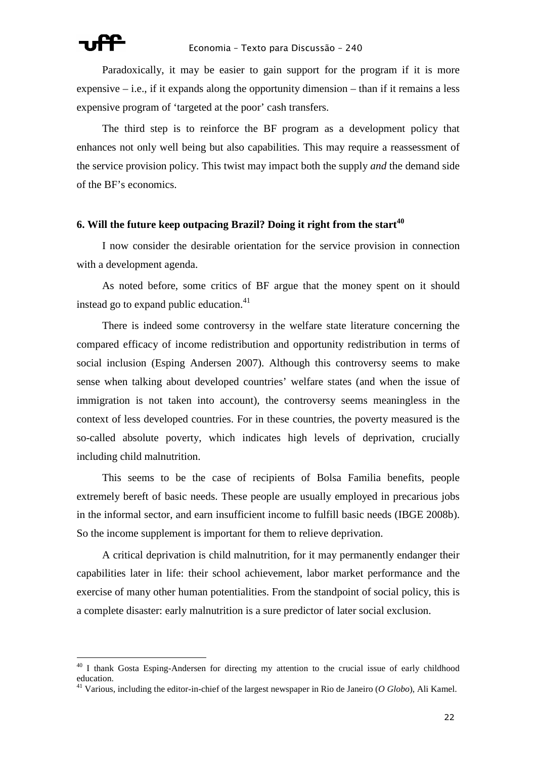

Paradoxically, it may be easier to gain support for the program if it is more expensive  $-$  i.e., if it expands along the opportunity dimension  $-$  than if it remains a less expensive program of 'targeted at the poor' cash transfers.

The third step is to reinforce the BF program as a development policy that enhances not only well being but also capabilities. This may require a reassessment of the service provision policy. This twist may impact both the supply *and* the demand side of the BF's economics.

### **6. Will the future keep outpacing Brazil? Doing it right from the start<sup>40</sup>**

I now consider the desirable orientation for the service provision in connection with a development agenda.

As noted before, some critics of BF argue that the money spent on it should instead go to expand public education. $41$ 

There is indeed some controversy in the welfare state literature concerning the compared efficacy of income redistribution and opportunity redistribution in terms of social inclusion (Esping Andersen 2007). Although this controversy seems to make sense when talking about developed countries' welfare states (and when the issue of immigration is not taken into account), the controversy seems meaningless in the context of less developed countries. For in these countries, the poverty measured is the so-called absolute poverty, which indicates high levels of deprivation, crucially including child malnutrition.

This seems to be the case of recipients of Bolsa Familia benefits, people extremely bereft of basic needs. These people are usually employed in precarious jobs in the informal sector, and earn insufficient income to fulfill basic needs (IBGE 2008b). So the income supplement is important for them to relieve deprivation.

A critical deprivation is child malnutrition, for it may permanently endanger their capabilities later in life: their school achievement, labor market performance and the exercise of many other human potentialities. From the standpoint of social policy, this is a complete disaster: early malnutrition is a sure predictor of later social exclusion.

<sup>&</sup>lt;sup>40</sup> I thank Gosta Esping-Andersen for directing my attention to the crucial issue of early childhood education.

<sup>41</sup> Various, including the editor-in-chief of the largest newspaper in Rio de Janeiro (*O Globo*), Ali Kamel.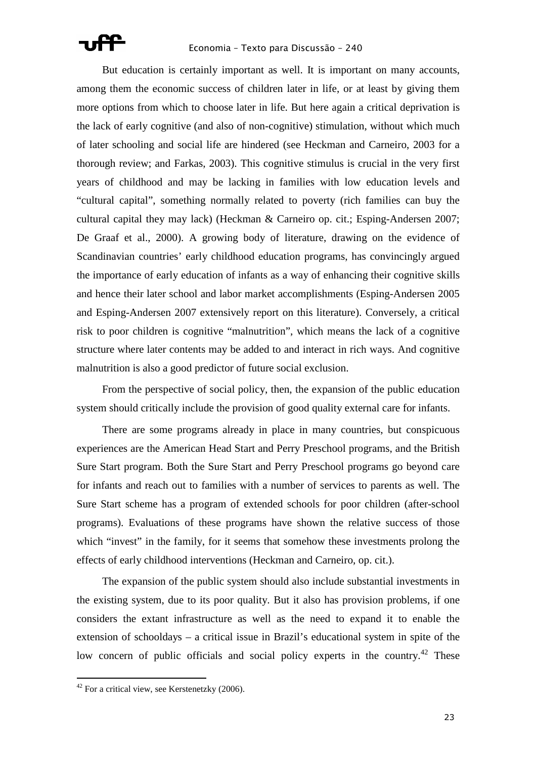But education is certainly important as well. It is important on many accounts, among them the economic success of children later in life, or at least by giving them more options from which to choose later in life. But here again a critical deprivation is the lack of early cognitive (and also of non-cognitive) stimulation, without which much of later schooling and social life are hindered (see Heckman and Carneiro, 2003 for a thorough review; and Farkas, 2003). This cognitive stimulus is crucial in the very first years of childhood and may be lacking in families with low education levels and "cultural capital", something normally related to poverty (rich families can buy the cultural capital they may lack) (Heckman & Carneiro op. cit.; Esping-Andersen 2007; De Graaf et al., 2000). A growing body of literature, drawing on the evidence of Scandinavian countries' early childhood education programs, has convincingly argued the importance of early education of infants as a way of enhancing their cognitive skills and hence their later school and labor market accomplishments (Esping-Andersen 2005 and Esping-Andersen 2007 extensively report on this literature). Conversely, a critical risk to poor children is cognitive "malnutrition", which means the lack of a cognitive structure where later contents may be added to and interact in rich ways. And cognitive malnutrition is also a good predictor of future social exclusion.

From the perspective of social policy, then, the expansion of the public education system should critically include the provision of good quality external care for infants.

There are some programs already in place in many countries, but conspicuous experiences are the American Head Start and Perry Preschool programs, and the British Sure Start program. Both the Sure Start and Perry Preschool programs go beyond care for infants and reach out to families with a number of services to parents as well. The Sure Start scheme has a program of extended schools for poor children (after-school programs). Evaluations of these programs have shown the relative success of those which "invest" in the family, for it seems that somehow these investments prolong the effects of early childhood interventions (Heckman and Carneiro, op. cit.).

The expansion of the public system should also include substantial investments in the existing system, due to its poor quality. But it also has provision problems, if one considers the extant infrastructure as well as the need to expand it to enable the extension of schooldays – a critical issue in Brazil's educational system in spite of the low concern of public officials and social policy experts in the country.<sup>42</sup> These

l

 $42$  For a critical view, see Kerstenetzky (2006).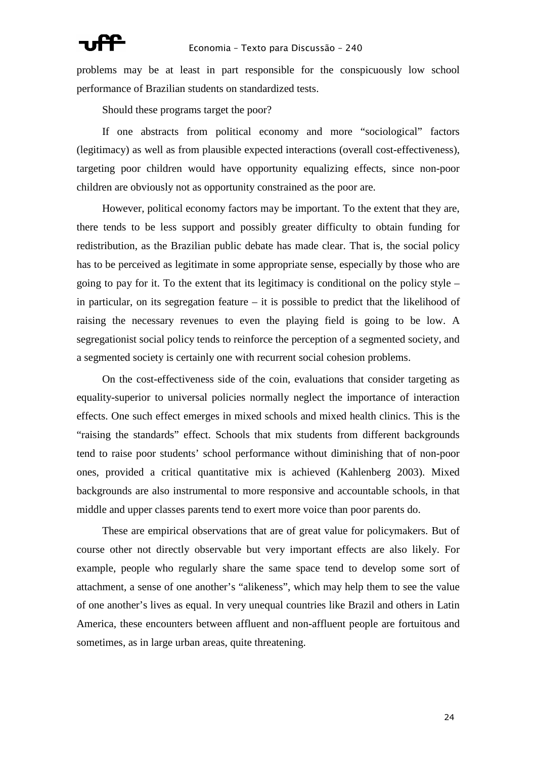problems may be at least in part responsible for the conspicuously low school performance of Brazilian students on standardized tests.

Should these programs target the poor?

If one abstracts from political economy and more "sociological" factors (legitimacy) as well as from plausible expected interactions (overall cost-effectiveness), targeting poor children would have opportunity equalizing effects, since non-poor children are obviously not as opportunity constrained as the poor are.

However, political economy factors may be important. To the extent that they are, there tends to be less support and possibly greater difficulty to obtain funding for redistribution, as the Brazilian public debate has made clear. That is, the social policy has to be perceived as legitimate in some appropriate sense, especially by those who are going to pay for it. To the extent that its legitimacy is conditional on the policy style – in particular, on its segregation feature – it is possible to predict that the likelihood of raising the necessary revenues to even the playing field is going to be low. A segregationist social policy tends to reinforce the perception of a segmented society, and a segmented society is certainly one with recurrent social cohesion problems.

On the cost-effectiveness side of the coin, evaluations that consider targeting as equality-superior to universal policies normally neglect the importance of interaction effects. One such effect emerges in mixed schools and mixed health clinics. This is the "raising the standards" effect. Schools that mix students from different backgrounds tend to raise poor students' school performance without diminishing that of non-poor ones, provided a critical quantitative mix is achieved (Kahlenberg 2003). Mixed backgrounds are also instrumental to more responsive and accountable schools, in that middle and upper classes parents tend to exert more voice than poor parents do.

These are empirical observations that are of great value for policymakers. But of course other not directly observable but very important effects are also likely. For example, people who regularly share the same space tend to develop some sort of attachment, a sense of one another's "alikeness", which may help them to see the value of one another's lives as equal. In very unequal countries like Brazil and others in Latin America, these encounters between affluent and non-affluent people are fortuitous and sometimes, as in large urban areas, quite threatening.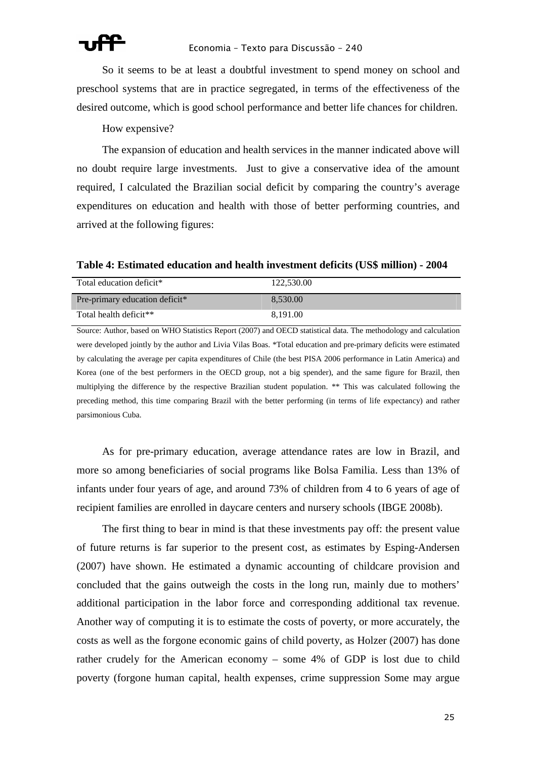So it seems to be at least a doubtful investment to spend money on school and preschool systems that are in practice segregated, in terms of the effectiveness of the desired outcome, which is good school performance and better life chances for children.

### How expensive?

The expansion of education and health services in the manner indicated above will no doubt require large investments. Just to give a conservative idea of the amount required, I calculated the Brazilian social deficit by comparing the country's average expenditures on education and health with those of better performing countries, and arrived at the following figures:

Total education deficit\* 122,530.00 Pre-primary education deficit\* 8,530.00 Total health deficit\*\* 8,191.00

**Table 4: Estimated education and health investment deficits (US\$ million) - 2004** 

Source: Author, based on WHO Statistics Report (2007) and OECD statistical data. The methodology and calculation were developed jointly by the author and Livia Vilas Boas. \*Total education and pre-primary deficits were estimated by calculating the average per capita expenditures of Chile (the best PISA 2006 performance in Latin America) and Korea (one of the best performers in the OECD group, not a big spender), and the same figure for Brazil, then multiplying the difference by the respective Brazilian student population. \*\* This was calculated following the preceding method, this time comparing Brazil with the better performing (in terms of life expectancy) and rather parsimonious Cuba.

As for pre-primary education, average attendance rates are low in Brazil, and more so among beneficiaries of social programs like Bolsa Familia. Less than 13% of infants under four years of age, and around 73% of children from 4 to 6 years of age of recipient families are enrolled in daycare centers and nursery schools (IBGE 2008b).

The first thing to bear in mind is that these investments pay off: the present value of future returns is far superior to the present cost, as estimates by Esping-Andersen (2007) have shown. He estimated a dynamic accounting of childcare provision and concluded that the gains outweigh the costs in the long run, mainly due to mothers' additional participation in the labor force and corresponding additional tax revenue. Another way of computing it is to estimate the costs of poverty, or more accurately, the costs as well as the forgone economic gains of child poverty, as Holzer (2007) has done rather crudely for the American economy – some 4% of GDP is lost due to child poverty (forgone human capital, health expenses, crime suppression Some may argue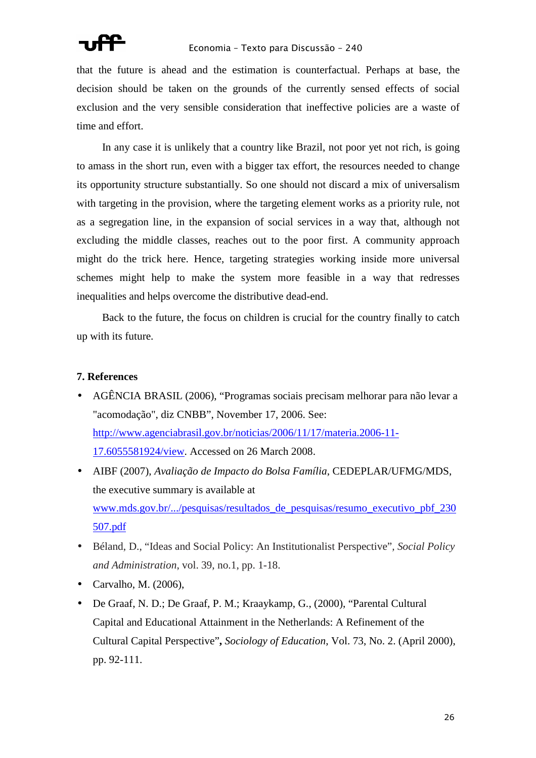that the future is ahead and the estimation is counterfactual. Perhaps at base, the decision should be taken on the grounds of the currently sensed effects of social exclusion and the very sensible consideration that ineffective policies are a waste of time and effort.

In any case it is unlikely that a country like Brazil, not poor yet not rich, is going to amass in the short run, even with a bigger tax effort, the resources needed to change its opportunity structure substantially. So one should not discard a mix of universalism with targeting in the provision, where the targeting element works as a priority rule, not as a segregation line, in the expansion of social services in a way that, although not excluding the middle classes, reaches out to the poor first. A community approach might do the trick here. Hence, targeting strategies working inside more universal schemes might help to make the system more feasible in a way that redresses inequalities and helps overcome the distributive dead-end.

Back to the future, the focus on children is crucial for the country finally to catch up with its future.

### **7. References**

- AGÊNCIA BRASIL (2006), "Programas sociais precisam melhorar para não levar a "acomodação", diz CNBB", November 17, 2006. See: http://www.agenciabrasil.gov.br/noticias/2006/11/17/materia.2006-11- 17.6055581924/view. Accessed on 26 March 2008.
- AIBF (2007), *Avaliação de Impacto do Bolsa Família*, CEDEPLAR/UFMG/MDS, the executive summary is available at www.mds.gov.br/.../pesquisas/resultados\_de\_pesquisas/resumo\_executivo\_pbf\_230 507.pdf
- Béland, D., "Ideas and Social Policy: An Institutionalist Perspective"*, Social Policy and Administration*, vol. 39, no.1, pp. 1-18.
- Carvalho, M. (2006),
- De Graaf, N. D.; De Graaf, P. M.; Kraaykamp, G., (2000), "Parental Cultural Capital and Educational Attainment in the Netherlands: A Refinement of the Cultural Capital Perspective"**,** *Sociology of Education*, Vol. 73, No. 2. (April 2000), pp. 92-111.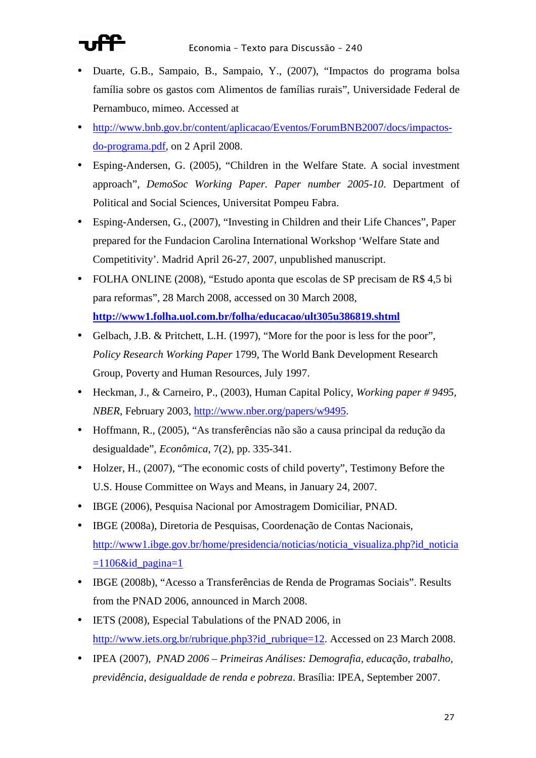

- Duarte, G.B., Sampaio, B., Sampaio, Y., (2007), "Impactos do programa bolsa família sobre os gastos com Alimentos de famílias rurais", Universidade Federal de Pernambuco, mimeo. Accessed at
- http://www.bnb.gov.br/content/aplicacao/Eventos/ForumBNB2007/docs/impactosdo-programa.pdf, on 2 April 2008.
- Esping-Andersen, G. (2005), "Children in the Welfare State. A social investment approach", *DemoSoc Working Paper. Paper number 2005-10*. Department of Political and Social Sciences, Universitat Pompeu Fabra.
- Esping-Andersen, G., (2007), "Investing in Children and their Life Chances", Paper prepared for the Fundacion Carolina International Workshop 'Welfare State and Competitivity'. Madrid April 26-27, 2007, unpublished manuscript.
- FOLHA ONLINE (2008), "Estudo aponta que escolas de SP precisam de R\$ 4,5 bi para reformas", 28 March 2008, accessed on 30 March 2008, **http://www1.folha.uol.com.br/folha/educacao/ult305u386819.shtml**
- Gelbach, J.B. & Pritchett, L.H. (1997), "More for the poor is less for the poor", *Policy Research Working Paper* 1799, The World Bank Development Research Group, Poverty and Human Resources, July 1997.
- Heckman, J., & Carneiro, P., (2003), Human Capital Policy, *Working paper # 9495, NBER*, February 2003, http://www.nber.org/papers/w9495.
- Hoffmann, R., (2005), "As transferências não são a causa principal da redução da desigualdade", *Econômica*, 7(2), pp. 335-341.
- Holzer, H., (2007), "The economic costs of child poverty", Testimony Before the U.S. House Committee on Ways and Means, in January 24, 2007.
- IBGE (2006), Pesquisa Nacional por Amostragem Domiciliar, PNAD.
- IBGE (2008a), Diretoria de Pesquisas, Coordenação de Contas Nacionais, http://www1.ibge.gov.br/home/presidencia/noticias/noticia\_visualiza.php?id\_noticia  $=1106\&$ id pagina=1
- IBGE (2008b), "Acesso a Transferências de Renda de Programas Sociais". Results from the PNAD 2006, announced in March 2008.
- IETS (2008), Especial Tabulations of the PNAD 2006, in http://www.iets.org.br/rubrique.php3?id\_rubrique=12. Accessed on 23 March 2008.
- IPEA (2007), *PNAD 2006 Primeiras Análises: Demografia, educação, trabalho, previdência, desigualdade de renda e pobreza*. Brasília: IPEA, September 2007.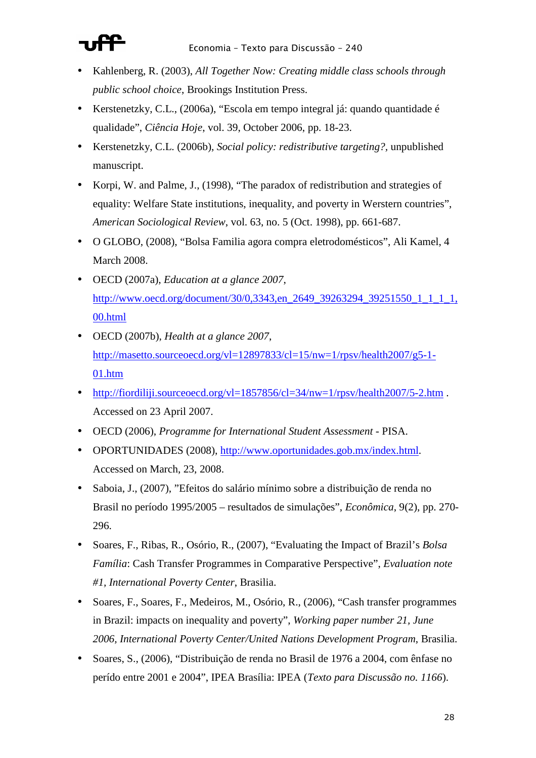

- Kahlenberg, R. (2003), *All Together Now: Creating middle class schools through public school choice*, Brookings Institution Press.
- Kerstenetzky, C.L., (2006a), "Escola em tempo integral já: quando quantidade é qualidade", *Ciência Hoje*, vol. 39, October 2006, pp. 18-23.
- Kerstenetzky, C.L. (2006b), *Social policy: redistributive targeting?,* unpublished manuscript.
- Korpi, W. and Palme, J., (1998), "The paradox of redistribution and strategies of equality: Welfare State institutions, inequality, and poverty in Werstern countries", *American Sociological Review*, vol. 63, no. 5 (Oct. 1998), pp. 661-687.
- O GLOBO, (2008), "Bolsa Familia agora compra eletrodomésticos", Ali Kamel, 4 March 2008.
- OECD (2007a), *Education at a glance 2007*, http://www.oecd.org/document/30/0,3343,en\_2649\_39263294\_39251550\_1\_1\_1\_1, 00.html
- OECD (2007b), *Health at a glance 2007*, http://masetto.sourceoecd.org/vl=12897833/cl=15/nw=1/rpsv/health2007/g5-1- 01.htm
- http://fiordiliji.sourceoecd.org/vl=1857856/cl=34/nw=1/rpsv/health2007/5-2.htm. Accessed on 23 April 2007.
- OECD (2006), *Programme for International Student Assessment* PISA.
- OPORTUNIDADES (2008), http://www.oportunidades.gob.mx/index.html. Accessed on March, 23, 2008.
- Saboia, J., (2007), "Efeitos do salário mínimo sobre a distribuição de renda no Brasil no período 1995/2005 – resultados de simulações", *Econômica*, 9(2), pp. 270- 296.
- Soares, F., Ribas, R., Osório, R., (2007), "Evaluating the Impact of Brazil's *Bolsa Família*: Cash Transfer Programmes in Comparative Perspective", *Evaluation note #1, International Poverty Center*, Brasilia.
- Soares, F., Soares, F., Medeiros, M., Osório, R., (2006), "Cash transfer programmes in Brazil: impacts on inequality and poverty", *Working paper number 21, June 2006, International Poverty Center/United Nations Development Program*, Brasilia.
- Soares, S., (2006), "Distribuição de renda no Brasil de 1976 a 2004, com ênfase no perído entre 2001 e 2004", IPEA Brasília: IPEA (*Texto para Discussão no. 1166*).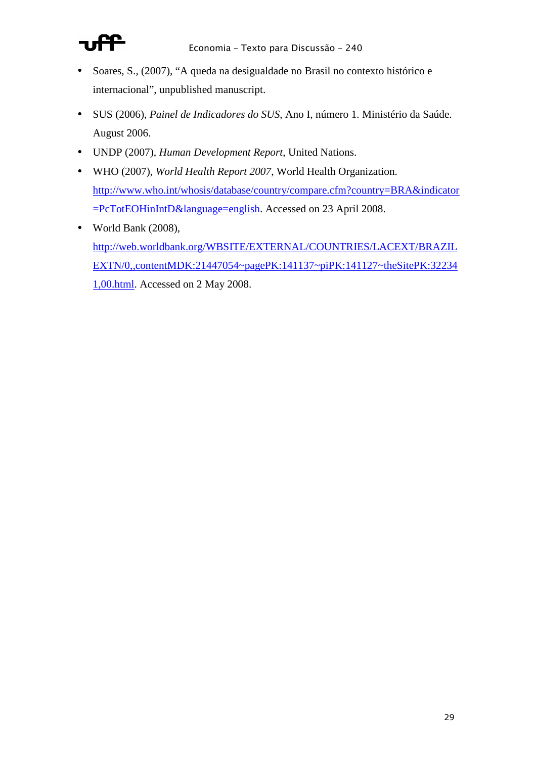

- Soares, S., (2007), "A queda na desigualdade no Brasil no contexto histórico e internacional", unpublished manuscript.
- SUS (2006), *Painel de Indicadores do SUS*, Ano I, número 1. Ministério da Saúde. August 2006.
- UNDP (2007), *Human Development Report*, United Nations.
- WHO (2007), *World Health Report 2007*, World Health Organization. http://www.who.int/whosis/database/country/compare.cfm?country=BRA&indicator =PcTotEOHinIntD&language=english. Accessed on 23 April 2008.
- World Bank (2008), http://web.worldbank.org/WBSITE/EXTERNAL/COUNTRIES/LACEXT/BRAZIL EXTN/0,,contentMDK:21447054~pagePK:141137~piPK:141127~theSitePK:32234 1,00.html. Accessed on 2 May 2008.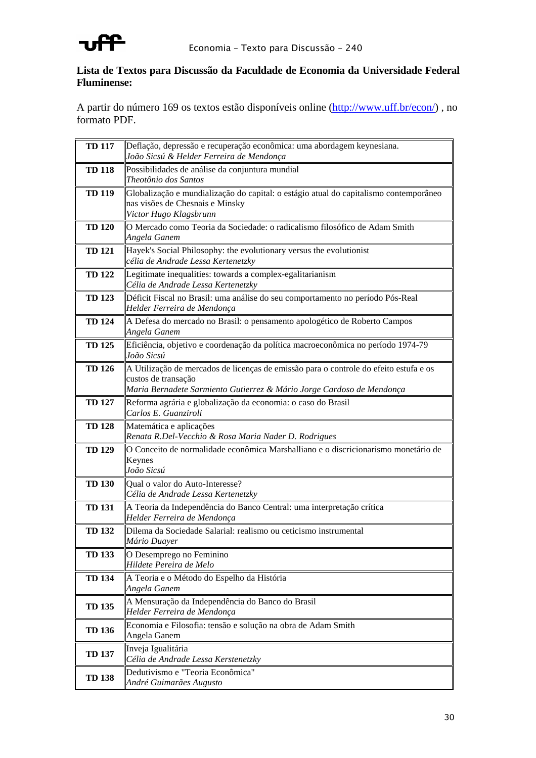

### **Lista de Textos para Discussão da Faculdade de Economia da Universidade Federal Fluminense:**

A partir do número 169 os textos estão disponíveis online (http://www.uff.br/econ/) , no formato PDF.

| <b>TD 117</b> | Deflação, depressão e recuperação econômica: uma abordagem keynesiana.<br>João Sicsú & Helder Ferreira de Mendonça                                                                    |
|---------------|---------------------------------------------------------------------------------------------------------------------------------------------------------------------------------------|
| <b>TD 118</b> | Possibilidades de análise da conjuntura mundial<br>Theotônio dos Santos                                                                                                               |
| <b>TD 119</b> | Globalização e mundialização do capital: o estágio atual do capitalismo contemporâneo<br>nas visões de Chesnais e Minsky<br>Victor Hugo Klagsbrunn                                    |
| <b>TD 120</b> | O Mercado como Teoria da Sociedade: o radicalismo filosófico de Adam Smith<br>Angela Ganem                                                                                            |
| <b>TD 121</b> | Hayek's Social Philosophy: the evolutionary versus the evolutionist<br>célia de Andrade Lessa Kertenetzky                                                                             |
| <b>TD 122</b> | Legitimate inequalities: towards a complex-egalitarianism<br>Célia de Andrade Lessa Kertenetzky                                                                                       |
| <b>TD 123</b> | Déficit Fiscal no Brasil: uma análise do seu comportamento no período Pós-Real<br>Helder Ferreira de Mendonça                                                                         |
| <b>TD 124</b> | A Defesa do mercado no Brasil: o pensamento apologético de Roberto Campos<br>Angela Ganem                                                                                             |
| <b>TD 125</b> | Eficiência, objetivo e coordenação da política macroeconômica no período 1974-79<br>João Sicsú                                                                                        |
| <b>TD 126</b> | A Utilização de mercados de licenças de emissão para o controle do efeito estufa e os<br>custos de transação<br>Maria Bernadete Sarmiento Gutierrez & Mário Jorge Cardoso de Mendonça |
| <b>TD 127</b> | Reforma agrária e globalização da economia: o caso do Brasil<br>Carlos E. Guanziroli                                                                                                  |
| <b>TD 128</b> | Matemática e aplicações<br>Renata R.Del-Vecchio & Rosa Maria Nader D. Rodrigues                                                                                                       |
| <b>TD 129</b> | O Conceito de normalidade econômica Marshalliano e o discricionarismo monetário de<br>Keynes<br>João Sicsú                                                                            |
| <b>TD 130</b> | Qual o valor do Auto-Interesse?<br>Célia de Andrade Lessa Kertenetzky                                                                                                                 |
| <b>TD 131</b> | A Teoria da Independência do Banco Central: uma interpretação crítica<br>Helder Ferreira de Mendonça                                                                                  |
| <b>TD 132</b> | Dilema da Sociedade Salarial: realismo ou ceticismo instrumental<br>Mário Duayer                                                                                                      |
| <b>TD 133</b> | O Desemprego no Feminino<br>Hildete Pereira de Melo                                                                                                                                   |
| <b>TD 134</b> | A Teoria e o Método do Espelho da História<br>Angela Ganem                                                                                                                            |
| <b>TD 135</b> | A Mensuração da Independência do Banco do Brasil<br>Helder Ferreira de Mendonça                                                                                                       |
| <b>TD 136</b> | Economia e Filosofia: tensão e solução na obra de Adam Smith<br>Angela Ganem                                                                                                          |
| <b>TD 137</b> | Inveja Igualitária<br>Célia de Andrade Lessa Kerstenetzky                                                                                                                             |
| <b>TD 138</b> | Dedutivismo e "Teoria Econômica"<br>André Guimarães Augusto                                                                                                                           |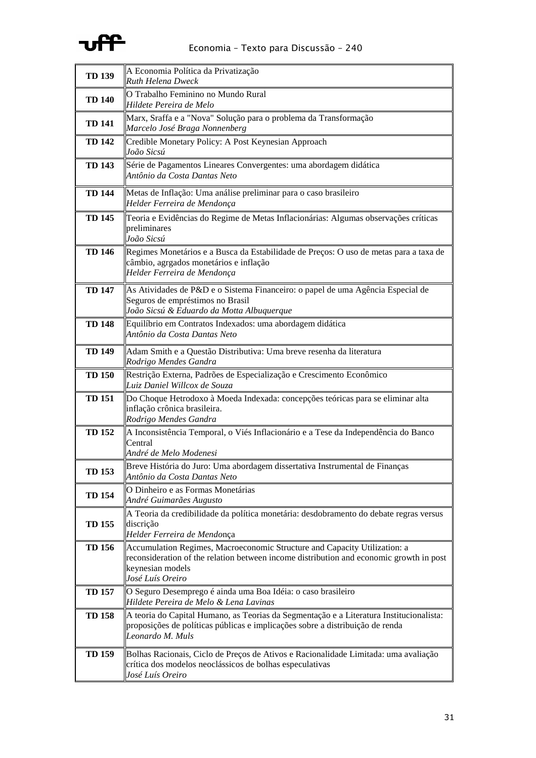

| <b>TD 139</b> | A Economia Política da Privatização<br><b>Ruth Helena Dweck</b>                                                                                                                                              |
|---------------|--------------------------------------------------------------------------------------------------------------------------------------------------------------------------------------------------------------|
| <b>TD 140</b> | O Trabalho Feminino no Mundo Rural<br>Hildete Pereira de Melo                                                                                                                                                |
| <b>TD 141</b> | Marx, Sraffa e a "Nova" Solução para o problema da Transformação<br>Marcelo José Braga Nonnenberg                                                                                                            |
| <b>TD 142</b> | Credible Monetary Policy: A Post Keynesian Approach<br>João Sicsú                                                                                                                                            |
| <b>TD 143</b> | Série de Pagamentos Lineares Convergentes: uma abordagem didática<br>Antônio da Costa Dantas Neto                                                                                                            |
| <b>TD 144</b> | Metas de Inflação: Uma análise preliminar para o caso brasileiro<br>Helder Ferreira de Mendonça                                                                                                              |
| <b>TD 145</b> | Teoria e Evidências do Regime de Metas Inflacionárias: Algumas observações críticas<br>preliminares<br>João Sicsú                                                                                            |
| <b>TD 146</b> | Regimes Monetários e a Busca da Estabilidade de Preços: O uso de metas para a taxa de<br>câmbio, agrgados monetários e inflação<br>Helder Ferreira de Mendonça                                               |
| <b>TD 147</b> | As Atividades de P&D e o Sistema Financeiro: o papel de uma Agência Especial de<br>Seguros de empréstimos no Brasil<br>João Sicsú & Eduardo da Motta Albuquerque                                             |
| <b>TD 148</b> | Equilíbrio em Contratos Indexados: uma abordagem didática<br>Antônio da Costa Dantas Neto                                                                                                                    |
| <b>TD 149</b> | Adam Smith e a Questão Distributiva: Uma breve resenha da literatura<br>Rodrigo Mendes Gandra                                                                                                                |
| <b>TD 150</b> | Restrição Externa, Padrões de Especialização e Crescimento Econômico<br>Luiz Daniel Willcox de Souza                                                                                                         |
| <b>TD 151</b> | Do Choque Hetrodoxo à Moeda Indexada: concepções teóricas para se eliminar alta<br>inflação crônica brasileira.<br>Rodrigo Mendes Gandra                                                                     |
| <b>TD 152</b> | A Inconsistência Temporal, o Viés Inflacionário e a Tese da Independência do Banco<br>Central<br>André de Melo Modenesi                                                                                      |
| <b>TD 153</b> | Breve História do Juro: Uma abordagem dissertativa Instrumental de Finanças<br>Antônio da Costa Dantas Neto                                                                                                  |
| <b>TD 154</b> | O Dinheiro e as Formas Monetárias<br>André Guimarães Augusto                                                                                                                                                 |
| <b>TD 155</b> | A Teoria da credibilidade da política monetária: desdobramento do debate regras versus<br>discrição<br>Helder Ferreira de Mendonça                                                                           |
| <b>TD 156</b> | Accumulation Regimes, Macroeconomic Structure and Capacity Utilization: a<br>reconsideration of the relation between income distribution and economic growth in post<br>keynesian models<br>José Luís Oreiro |
| <b>TD 157</b> | O Seguro Desemprego é ainda uma Boa Idéia: o caso brasileiro<br>Hildete Pereira de Melo & Lena Lavinas                                                                                                       |
| <b>TD 158</b> | A teoria do Capital Humano, as Teorias da Segmentação e a Literatura Institucionalista:<br>proposições de políticas públicas e implicações sobre a distribuição de renda<br>Leonardo M. Muls                 |
| <b>TD 159</b> | Bolhas Racionais, Ciclo de Preços de Ativos e Racionalidade Limitada: uma avaliação<br>crítica dos modelos neoclássicos de bolhas especulativas<br>José Luís Oreiro                                          |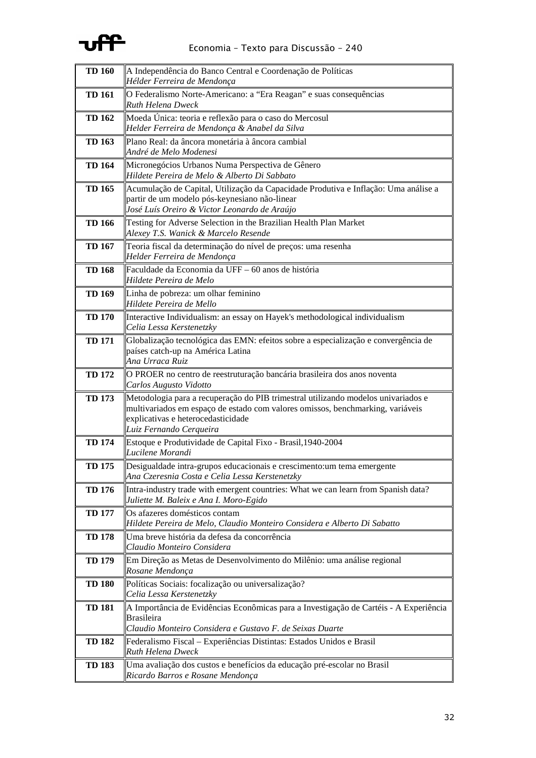

| <b>TD 160</b> | A Independência do Banco Central e Coordenação de Políticas<br>Hélder Ferreira de Mendonça                                                                                                                                           |
|---------------|--------------------------------------------------------------------------------------------------------------------------------------------------------------------------------------------------------------------------------------|
| <b>TD 161</b> | O Federalismo Norte-Americano: a "Era Reagan" e suas consequências<br><b>Ruth Helena Dweck</b>                                                                                                                                       |
| <b>TD 162</b> | Moeda Única: teoria e reflexão para o caso do Mercosul<br>Helder Ferreira de Mendonça & Anabel da Silva                                                                                                                              |
| <b>TD 163</b> | Plano Real: da âncora monetária à âncora cambial<br>André de Melo Modenesi                                                                                                                                                           |
| <b>TD 164</b> | Micronegócios Urbanos Numa Perspectiva de Gênero<br>Hildete Pereira de Melo & Alberto Di Sabbato                                                                                                                                     |
| <b>TD 165</b> | Acumulação de Capital, Utilização da Capacidade Produtiva e Inflação: Uma análise a<br>partir de um modelo pós-keynesiano não-linear<br>José Luís Oreiro & Victor Leonardo de Araújo                                                 |
| <b>TD 166</b> | Testing for Adverse Selection in the Brazilian Health Plan Market<br>Alexey T.S. Wanick & Marcelo Resende                                                                                                                            |
| <b>TD 167</b> | Teoria fiscal da determinação do nível de preços: uma resenha<br>Helder Ferreira de Mendonça                                                                                                                                         |
| <b>TD 168</b> | Faculdade da Economia da UFF – 60 anos de história<br>Hildete Pereira de Melo                                                                                                                                                        |
| <b>TD 169</b> | Linha de pobreza: um olhar feminino<br>Hildete Pereira de Mello                                                                                                                                                                      |
| <b>TD 170</b> | Interactive Individualism: an essay on Hayek's methodological individualism<br>Celia Lessa Kerstenetzky                                                                                                                              |
| <b>TD 171</b> | Globalização tecnológica das EMN: efeitos sobre a especialização e convergência de<br>países catch-up na América Latina<br>Ana Urraca Ruiz                                                                                           |
| <b>TD 172</b> | O PROER no centro de reestruturação bancária brasileira dos anos noventa<br>Carlos Augusto Vidotto                                                                                                                                   |
| <b>TD 173</b> | Metodologia para a recuperação do PIB trimestral utilizando modelos univariados e<br>multivariados em espaço de estado com valores omissos, benchmarking, variáveis<br>explicativas e heterocedasticidade<br>Luiz Fernando Cerqueira |
| <b>TD 174</b> | Estoque e Produtividade de Capital Fixo - Brasil, 1940-2004<br>Lucilene Morandi                                                                                                                                                      |
| <b>TD 175</b> | Desigualdade intra-grupos educacionais e crescimento: um tema emergente<br>Ana Czeresnia Costa e Celia Lessa Kerstenetzky                                                                                                            |
| <b>TD 176</b> | Intra-industry trade with emergent countries: What we can learn from Spanish data?<br>Juliette M. Baleix e Ana I. Moro-Egido                                                                                                         |
| <b>TD 177</b> | Os afazeres domésticos contam<br>Hildete Pereira de Melo, Claudio Monteiro Considera e Alberto Di Sabatto                                                                                                                            |
| <b>TD 178</b> | Uma breve história da defesa da concorrência<br>Claudio Monteiro Considera                                                                                                                                                           |
| <b>TD 179</b> | Em Direção as Metas de Desenvolvimento do Milênio: uma análise regional<br>Rosane Mendonça                                                                                                                                           |
| <b>TD 180</b> | Políticas Sociais: focalização ou universalização?<br>Celia Lessa Kerstenetzky                                                                                                                                                       |
| <b>TD 181</b> | A Importância de Evidências Econômicas para a Investigação de Cartéis - A Experiência<br><b>Brasileira</b><br>Claudio Monteiro Considera e Gustavo F. de Seixas Duarte                                                               |
| <b>TD 182</b> | Federalismo Fiscal – Experiências Distintas: Estados Unidos e Brasil<br><b>Ruth Helena Dweck</b>                                                                                                                                     |
| <b>TD 183</b> | Uma avaliação dos custos e benefícios da educação pré-escolar no Brasil<br>Ricardo Barros e Rosane Mendonça                                                                                                                          |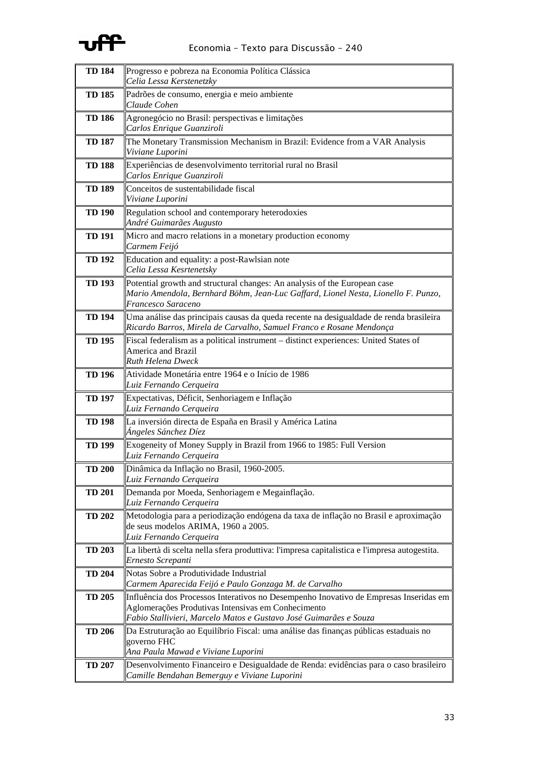

| <b>TD 184</b> | Progresso e pobreza na Economia Política Clássica<br>Celia Lessa Kerstenetzky                                                                                                                                    |
|---------------|------------------------------------------------------------------------------------------------------------------------------------------------------------------------------------------------------------------|
| <b>TD 185</b> | Padrões de consumo, energia e meio ambiente<br>Claude Cohen                                                                                                                                                      |
| <b>TD 186</b> | Agronegócio no Brasil: perspectivas e limitações<br>Carlos Enrique Guanziroli                                                                                                                                    |
| <b>TD 187</b> | The Monetary Transmission Mechanism in Brazil: Evidence from a VAR Analysis<br>Viviane Luporini                                                                                                                  |
| <b>TD 188</b> | Experiências de desenvolvimento territorial rural no Brasil<br>Carlos Enrique Guanziroli                                                                                                                         |
| <b>TD 189</b> | Conceitos de sustentabilidade fiscal<br>Viviane Luporini                                                                                                                                                         |
| <b>TD 190</b> | Regulation school and contemporary heterodoxies<br>André Guimarães Augusto                                                                                                                                       |
| <b>TD 191</b> | Micro and macro relations in a monetary production economy<br>Carmem Feijó                                                                                                                                       |
| <b>TD 192</b> | Education and equality: a post-Rawlsian note<br>Celia Lessa Kesrtenetsky                                                                                                                                         |
| <b>TD 193</b> | Potential growth and structural changes: An analysis of the European case<br>Mario Amendola, Bernhard Böhm, Jean-Luc Gaffard, Lionel Nesta, Lionello F. Punzo,<br>Francesco Saraceno                             |
| <b>TD 194</b> | Uma análise das principais causas da queda recente na desigualdade de renda brasileira<br>Ricardo Barros, Mirela de Carvalho, Samuel Franco e Rosane Mendonça                                                    |
| <b>TD 195</b> | Fiscal federalism as a political instrument - distinct experiences: United States of<br>America and Brazil<br>Ruth Helena Dweck                                                                                  |
| <b>TD 196</b> | Atividade Monetária entre 1964 e o Início de 1986<br>Luiz Fernando Cerqueira                                                                                                                                     |
| <b>TD 197</b> | Expectativas, Déficit, Senhoriagem e Inflação<br>Luiz Fernando Cerqueira                                                                                                                                         |
| <b>TD 198</b> | La inversión directa de España en Brasil y América Latina<br>Ángeles Sánchez Díez                                                                                                                                |
| <b>TD 199</b> | Exogeneity of Money Supply in Brazil from 1966 to 1985: Full Version<br>Luiz Fernando Cerqueira                                                                                                                  |
| TD 200        | ∥Dinâmica da Inflação no Brasil, 1960-2005.<br>Luiz Fernando Cerqueira                                                                                                                                           |
| <b>TD 201</b> | Demanda por Moeda, Senhoriagem e Megainflação.<br>Luiz Fernando Cerqueira                                                                                                                                        |
| <b>TD 202</b> | Metodologia para a periodização endógena da taxa de inflação no Brasil e aproximação<br>de seus modelos ARIMA, 1960 a 2005.<br>Luiz Fernando Cerqueira                                                           |
| <b>TD 203</b> | La libertà di scelta nella sfera produttiva: l'impresa capitalistica e l'impresa autogestita.<br>Ernesto Screpanti                                                                                               |
| <b>TD 204</b> | Notas Sobre a Produtividade Industrial<br>Carmem Aparecida Feijó e Paulo Gonzaga M. de Carvalho                                                                                                                  |
| <b>TD 205</b> | Influência dos Processos Interativos no Desempenho Inovativo de Empresas Inseridas em<br>Aglomerações Produtivas Intensivas em Conhecimento<br>Fabio Stallivieri, Marcelo Matos e Gustavo José Guimarães e Souza |
| <b>TD 206</b> | Da Estruturação ao Equilíbrio Fiscal: uma análise das finanças públicas estaduais no<br>governo FHC<br>Ana Paula Mawad e Viviane Luporini                                                                        |
| <b>TD 207</b> | Desenvolvimento Financeiro e Desigualdade de Renda: evidências para o caso brasileiro<br>Camille Bendahan Bemerguy e Viviane Luporini                                                                            |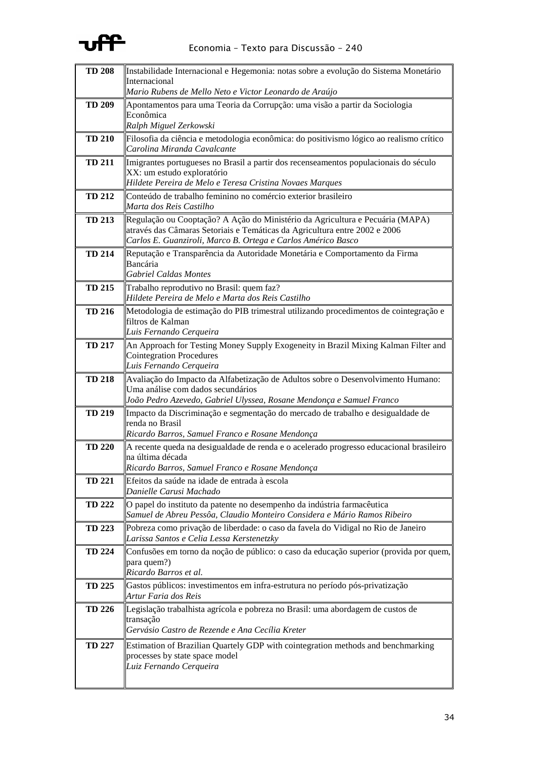

| <b>TD 208</b> | Instabilidade Internacional e Hegemonia: notas sobre a evolução do Sistema Monetário                                                                                                                                        |
|---------------|-----------------------------------------------------------------------------------------------------------------------------------------------------------------------------------------------------------------------------|
|               | Internacional<br>Mario Rubens de Mello Neto e Victor Leonardo de Araújo                                                                                                                                                     |
| <b>TD 209</b> | Apontamentos para uma Teoria da Corrupção: uma visão a partir da Sociologia<br>Econômica                                                                                                                                    |
|               | Ralph Miguel Zerkowski                                                                                                                                                                                                      |
| <b>TD 210</b> | Filosofia da ciência e metodologia econômica: do positivismo lógico ao realismo crítico<br>Carolina Miranda Cavalcante                                                                                                      |
| <b>TD 211</b> | Imigrantes portugueses no Brasil a partir dos recenseamentos populacionais do século<br>XX: um estudo exploratório<br>Hildete Pereira de Melo e Teresa Cristina Novaes Marques                                              |
| <b>TD 212</b> | Conteúdo de trabalho feminino no comércio exterior brasileiro<br>Marta dos Reis Castilho                                                                                                                                    |
| <b>TD 213</b> | Regulação ou Cooptação? A Ação do Ministério da Agricultura e Pecuária (MAPA)<br>através das Câmaras Setoriais e Temáticas da Agricultura entre 2002 e 2006<br>Carlos E. Guanziroli, Marco B. Ortega e Carlos Américo Basco |
| <b>TD 214</b> | Reputação e Transparência da Autoridade Monetária e Comportamento da Firma<br>Bancária<br><b>Gabriel Caldas Montes</b>                                                                                                      |
| <b>TD 215</b> | Trabalho reprodutivo no Brasil: quem faz?<br>Hildete Pereira de Melo e Marta dos Reis Castilho                                                                                                                              |
| <b>TD 216</b> | Metodologia de estimação do PIB trimestral utilizando procedimentos de cointegração e<br>filtros de Kalman<br>Luis Fernando Cerqueira                                                                                       |
| <b>TD 217</b> | An Approach for Testing Money Supply Exogeneity in Brazil Mixing Kalman Filter and<br>Cointegration Procedures<br>Luis Fernando Cerqueira                                                                                   |
| <b>TD 218</b> | Avaliação do Impacto da Alfabetização de Adultos sobre o Desenvolvimento Humano:<br>Uma análise com dados secundários<br>João Pedro Azevedo, Gabriel Ulyssea, Rosane Mendonça e Samuel Franco                               |
| <b>TD 219</b> | Impacto da Discriminação e segmentação do mercado de trabalho e desigualdade de<br>renda no Brasil<br>Ricardo Barros, Samuel Franco e Rosane Mendonça                                                                       |
| <b>TD 220</b> | A recente queda na desigualdade de renda e o acelerado progresso educacional brasileiro<br>na última década<br>Ricardo Barros, Samuel Franco e Rosane Mendonça                                                              |
| <b>TD 221</b> | Efeitos da saúde na idade de entrada à escola<br>Danielle Carusi Machado                                                                                                                                                    |
| <b>TD 222</b> | O papel do instituto da patente no desempenho da indústria farmacêutica<br>Samuel de Abreu Pessôa, Claudio Monteiro Considera e Mário Ramos Ribeiro                                                                         |
| <b>TD 223</b> | Pobreza como privação de liberdade: o caso da favela do Vidigal no Rio de Janeiro<br>Larissa Santos e Celia Lessa Kerstenetzky                                                                                              |
| <b>TD 224</b> | Confusões em torno da noção de público: o caso da educação superior (provida por quem,<br>para quem?)<br>Ricardo Barros et al.                                                                                              |
| <b>TD 225</b> | Gastos públicos: investimentos em infra-estrutura no período pós-privatização<br>Artur Faria dos Reis                                                                                                                       |
| <b>TD 226</b> | Legislação trabalhista agrícola e pobreza no Brasil: uma abordagem de custos de<br>transação<br>Gervásio Castro de Rezende e Ana Cecília Kreter                                                                             |
| <b>TD 227</b> | <b>Estimation of Brazilian Quartely GDP with cointegration methods and benchmarking</b><br>processes by state space model<br>Luiz Fernando Cerqueira                                                                        |